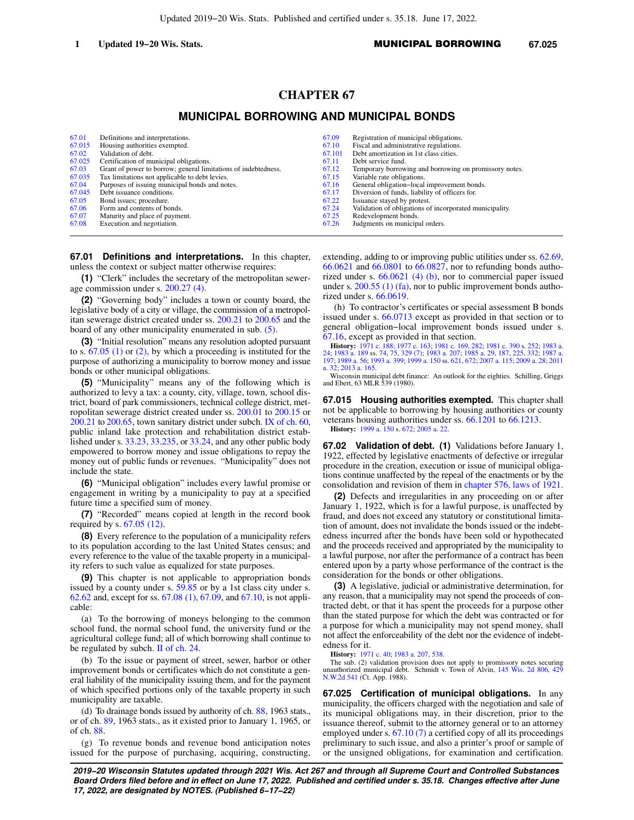# **CHAPTER 67**

# **MUNICIPAL BORROWING AND MUNICIPAL BONDS**

| 67.01  | Definitions and interpretations.                               | 67.09  | Registration of municipal obligations.                  |
|--------|----------------------------------------------------------------|--------|---------------------------------------------------------|
| 67.015 | Housing authorities exempted.                                  | 67.10  | Fiscal and administrative regulations.                  |
| 67.02  | Validation of debt.                                            | 67.101 | Debt amortization in 1st class cities.                  |
| 67.025 | Certification of municipal obligations.                        | 67.11  | Debt service fund.                                      |
| 67.03  | Grant of power to borrow; general limitations of indebtedness. | 67.12  | Temporary borrowing and borrowing on promissory notes.  |
| 67.035 | Tax limitations not applicable to debt levies.                 | 67.15  | Variable rate obligations.                              |
| 67.04  | Purposes of issuing municipal bonds and notes.                 | 67.16  | General obligation-local improvement bonds.             |
| 67.045 | Debt issuance conditions.                                      | 67.17  | Diversion of funds, liability of officers for.          |
| 67.05  | Bond issues; procedure.                                        | 67.22  | Issuance stayed by protest.                             |
| 67.06  | Form and contents of bonds.                                    | 67.24  | Validation of obligations of incorporated municipality. |
| 67.07  | Maturity and place of payment.                                 | 67.25  | Redevelopment bonds.                                    |
| 67.08  | Execution and negotiation.                                     | 67.26  | Judgments on municipal orders.                          |

**67.01 Definitions and interpretations.** In this chapter, unless the context or subject matter otherwise requires:

**(1)** "Clerk" includes the secretary of the metropolitan sewerage commission under s. [200.27 \(4\)](https://docs.legis.wisconsin.gov/document/statutes/200.27(4)).

**(2)** "Governing body" includes a town or county board, the legislative body of a city or village, the commission of a metropolitan sewerage district created under ss. [200.21](https://docs.legis.wisconsin.gov/document/statutes/200.21) to [200.65](https://docs.legis.wisconsin.gov/document/statutes/200.65) and the board of any other municipality enumerated in sub. [\(5\)](https://docs.legis.wisconsin.gov/document/statutes/67.01(5)).

**(3)** "Initial resolution" means any resolution adopted pursuant to s. [67.05 \(1\)](https://docs.legis.wisconsin.gov/document/statutes/67.05(1)) or [\(2\),](https://docs.legis.wisconsin.gov/document/statutes/67.05(2)) by which a proceeding is instituted for the purpose of authorizing a municipality to borrow money and issue bonds or other municipal obligations.

**(5)** "Municipality" means any of the following which is authorized to levy a tax: a county, city, village, town, school district, board of park commissioners, technical college district, metropolitan sewerage district created under ss. [200.01](https://docs.legis.wisconsin.gov/document/statutes/200.01) to [200.15](https://docs.legis.wisconsin.gov/document/statutes/200.15) or [200.21](https://docs.legis.wisconsin.gov/document/statutes/200.21) to [200.65,](https://docs.legis.wisconsin.gov/document/statutes/200.65) town sanitary district under subch. [IX of ch. 60,](https://docs.legis.wisconsin.gov/document/statutes/subch.%20IX%20of%20ch.%2060) public inland lake protection and rehabilitation district established under s. [33.23](https://docs.legis.wisconsin.gov/document/statutes/33.23), [33.235](https://docs.legis.wisconsin.gov/document/statutes/33.235), or [33.24,](https://docs.legis.wisconsin.gov/document/statutes/33.24) and any other public body empowered to borrow money and issue obligations to repay the money out of public funds or revenues. "Municipality" does not include the state.

**(6)** "Municipal obligation" includes every lawful promise or engagement in writing by a municipality to pay at a specified future time a specified sum of money.

**(7)** "Recorded" means copied at length in the record book required by s. [67.05 \(12\)](https://docs.legis.wisconsin.gov/document/statutes/67.05(12)).

**(8)** Every reference to the population of a municipality refers to its population according to the last United States census; and every reference to the value of the taxable property in a municipality refers to such value as equalized for state purposes.

**(9)** This chapter is not applicable to appropriation bonds issued by a county under s. [59.85](https://docs.legis.wisconsin.gov/document/statutes/59.85) or by a 1st class city under s. [62.62](https://docs.legis.wisconsin.gov/document/statutes/62.62) and, except for ss. [67.08 \(1\)](https://docs.legis.wisconsin.gov/document/statutes/67.08(1)), [67.09,](https://docs.legis.wisconsin.gov/document/statutes/67.09) and [67.10](https://docs.legis.wisconsin.gov/document/statutes/67.10), is not applicable:

(a) To the borrowing of moneys belonging to the common school fund, the normal school fund, the university fund or the agricultural college fund; all of which borrowing shall continue to be regulated by subch. [II of ch. 24.](https://docs.legis.wisconsin.gov/document/statutes/subch.%20II%20of%20ch.%2024)

(b) To the issue or payment of street, sewer, harbor or other improvement bonds or certificates which do not constitute a general liability of the municipality issuing them, and for the payment of which specified portions only of the taxable property in such municipality are taxable.

(d) To drainage bonds issued by authority of ch. [88](https://docs.legis.wisconsin.gov/document/statutes/1963/ch.%2088), 1963 stats., or of ch. [89](https://docs.legis.wisconsin.gov/document/statutes/1963/ch.%2089), 1963 stats., as it existed prior to January 1, 1965, or of ch. [88.](https://docs.legis.wisconsin.gov/document/statutes/ch.%2088)

(g) To revenue bonds and revenue bond anticipation notes issued for the purpose of purchasing, acquiring, constructing,

extending, adding to or improving public utilities under ss. [62.69,](https://docs.legis.wisconsin.gov/document/statutes/62.69) [66.0621](https://docs.legis.wisconsin.gov/document/statutes/66.0621) and [66.0801](https://docs.legis.wisconsin.gov/document/statutes/66.0801) to [66.0827,](https://docs.legis.wisconsin.gov/document/statutes/66.0827) nor to refunding bonds authorized under s. [66.0621 \(4\) \(b\)](https://docs.legis.wisconsin.gov/document/statutes/66.0621(4)(b)), nor to commercial paper issued under s. [200.55 \(1\) \(fa\)](https://docs.legis.wisconsin.gov/document/statutes/200.55(1)(fa)), nor to public improvement bonds authorized under s. [66.0619.](https://docs.legis.wisconsin.gov/document/statutes/66.0619)

(h) To contractor's certificates or special assessment B bonds issued under s. [66.0713](https://docs.legis.wisconsin.gov/document/statutes/66.0713) except as provided in that section or to general obligation−local improvement bonds issued under s. [67.16](https://docs.legis.wisconsin.gov/document/statutes/67.16), except as provided in that section.

**History:** [1971 c. 188;](https://docs.legis.wisconsin.gov/document/acts/1971/188) [1977 c. 163](https://docs.legis.wisconsin.gov/document/acts/1977/163); [1981 c. 169](https://docs.legis.wisconsin.gov/document/acts/1981/169), [282](https://docs.legis.wisconsin.gov/document/acts/1981/282); [1981 c. 390](https://docs.legis.wisconsin.gov/document/acts/1981/390) s. [252](https://docs.legis.wisconsin.gov/document/acts/1981/390,%20s.%20252); [1983 a.](https://docs.legis.wisconsin.gov/document/acts/1983/24) [24](https://docs.legis.wisconsin.gov/document/acts/1983/24); [1983 a. 189](https://docs.legis.wisconsin.gov/document/acts/1983/189) ss. [74](https://docs.legis.wisconsin.gov/document/acts/1983/189,%20s.%2074), [75,](https://docs.legis.wisconsin.gov/document/acts/1983/189,%20s.%2075) [329 \(7\);](https://docs.legis.wisconsin.gov/document/acts/1983/189,%20s.%20329) [1983 a. 207;](https://docs.legis.wisconsin.gov/document/acts/1983/207) [1985 a. 29,](https://docs.legis.wisconsin.gov/document/acts/1985/29) [187,](https://docs.legis.wisconsin.gov/document/acts/1985/187) [225,](https://docs.legis.wisconsin.gov/document/acts/1985/225) [332;](https://docs.legis.wisconsin.gov/document/acts/1985/332) [1987 a.](https://docs.legis.wisconsin.gov/document/acts/1987/197) [197;](https://docs.legis.wisconsin.gov/document/acts/1987/197) [1989 a. 56;](https://docs.legis.wisconsin.gov/document/acts/1989/56) [1993 a. 399](https://docs.legis.wisconsin.gov/document/acts/1993/399); [1999 a. 150](https://docs.legis.wisconsin.gov/document/acts/1999/150) ss. [621](https://docs.legis.wisconsin.gov/document/acts/1999/150,%20s.%20621), [672;](https://docs.legis.wisconsin.gov/document/acts/1999/150,%20s.%20672) [2007 a. 115](https://docs.legis.wisconsin.gov/document/acts/2007/115); [2009 a. 28](https://docs.legis.wisconsin.gov/document/acts/2009/28); [2011](https://docs.legis.wisconsin.gov/document/acts/2011/32) [a. 32;](https://docs.legis.wisconsin.gov/document/acts/2011/32) [2013 a. 165](https://docs.legis.wisconsin.gov/document/acts/2013/165).

Wisconsin municipal debt finance: An outlook for the eighties. Schilling, Griggs and Ebert, 63 MLR 539 (1980).

**67.015 Housing authorities exempted.** This chapter shall not be applicable to borrowing by housing authorities or county veterans housing authorities under ss. [66.1201](https://docs.legis.wisconsin.gov/document/statutes/66.1201) to [66.1213.](https://docs.legis.wisconsin.gov/document/statutes/66.1213) **History:** [1999 a. 150](https://docs.legis.wisconsin.gov/document/acts/1999/150) s. [672](https://docs.legis.wisconsin.gov/document/acts/1999/150,%20s.%20672); [2005 a. 22](https://docs.legis.wisconsin.gov/document/acts/2005/22).

**67.02 Validation of debt. (1)** Validations before January 1, 1922, effected by legislative enactments of defective or irregular procedure in the creation, execution or issue of municipal obligations continue unaffected by the repeal of the enactments or by the consolidation and revision of them in [chapter 576, laws of 1921.](https://docs.legis.wisconsin.gov/document/acts/1921/576)

**(2)** Defects and irregularities in any proceeding on or after January 1, 1922, which is for a lawful purpose, is unaffected by fraud, and does not exceed any statutory or constitutional limitation of amount, does not invalidate the bonds issued or the indebtedness incurred after the bonds have been sold or hypothecated and the proceeds received and appropriated by the municipality to a lawful purpose, nor after the performance of a contract has been entered upon by a party whose performance of the contract is the consideration for the bonds or other obligations.

**(3)** A legislative, judicial or administrative determination, for any reason, that a municipality may not spend the proceeds of contracted debt, or that it has spent the proceeds for a purpose other than the stated purpose for which the debt was contracted or for a purpose for which a municipality may not spend money, shall not affect the enforceability of the debt nor the evidence of indebtedness for it.

**History:** [1971 c. 40](https://docs.legis.wisconsin.gov/document/acts/1971/40); [1983 a. 207,](https://docs.legis.wisconsin.gov/document/acts/1983/207) [538.](https://docs.legis.wisconsin.gov/document/acts/1983/538)

The sub. (2) validation provision does not apply to promissory notes securing unauthorized municipal debt. Schmidt v. Town of Alvin, [145 Wis. 2d 806](https://docs.legis.wisconsin.gov/document/courts/145%20Wis.%202d%20806), [429](https://docs.legis.wisconsin.gov/document/courts/429%20N.W.2d%20541) [N.W.2d 541](https://docs.legis.wisconsin.gov/document/courts/429%20N.W.2d%20541) (Ct. App. 1988).

**67.025 Certification of municipal obligations.** In any municipality, the officers charged with the negotiation and sale of its municipal obligations may, in their discretion, prior to the issuance thereof, submit to the attorney general or to an attorney employed under s. [67.10 \(7\)](https://docs.legis.wisconsin.gov/document/statutes/67.10(7)) a certified copy of all its proceedings preliminary to such issue, and also a printer's proof or sample of or the unsigned obligations, for examination and certification.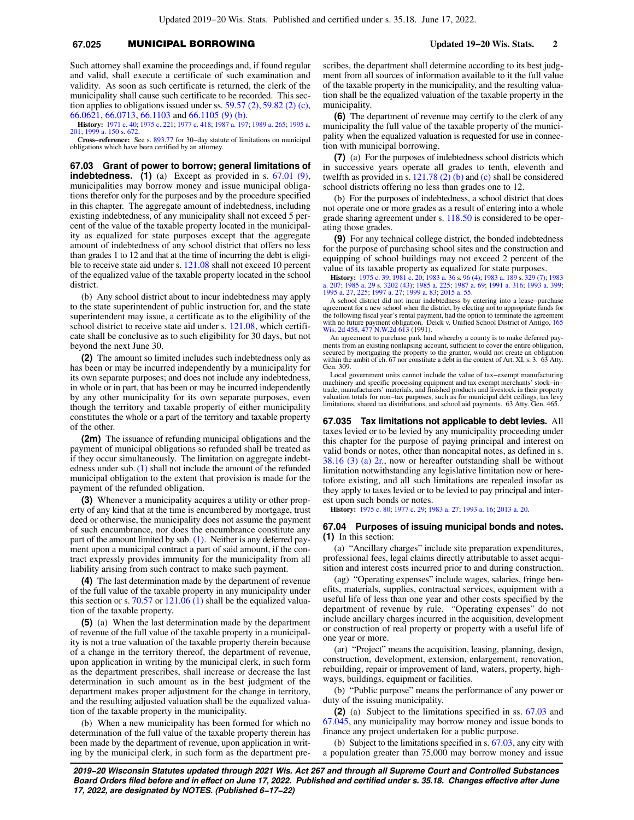# **67.025** MUNICIPAL BORROWING **Updated 19−20 Wis. Stats. 2**

Such attorney shall examine the proceedings and, if found regular and valid, shall execute a certificate of such examination and validity. As soon as such certificate is returned, the clerk of the municipality shall cause such certificate to be recorded. This section applies to obligations issued under ss.  $59.57$  (2),  $59.82$  (2) (c), [66.0621](https://docs.legis.wisconsin.gov/document/statutes/66.0621), [66.0713](https://docs.legis.wisconsin.gov/document/statutes/66.0713), [66.1103](https://docs.legis.wisconsin.gov/document/statutes/66.1103) and [66.1105 \(9\) \(b\)](https://docs.legis.wisconsin.gov/document/statutes/66.1105(9)(b)).

**History:** [1971 c. 40;](https://docs.legis.wisconsin.gov/document/acts/1971/40) [1975 c. 221;](https://docs.legis.wisconsin.gov/document/acts/1975/221) [1977 c. 418;](https://docs.legis.wisconsin.gov/document/acts/1977/418) [1987 a. 197;](https://docs.legis.wisconsin.gov/document/acts/1987/197) [1989 a. 265](https://docs.legis.wisconsin.gov/document/acts/1989/265); [1995 a.](https://docs.legis.wisconsin.gov/document/acts/1995/201) [201](https://docs.legis.wisconsin.gov/document/acts/1995/201); [1999 a. 150](https://docs.legis.wisconsin.gov/document/acts/1999/150) s. [672.](https://docs.legis.wisconsin.gov/document/acts/1999/150,%20s.%20672)

**Cross−reference:** See s. [893.77](https://docs.legis.wisconsin.gov/document/statutes/893.77) for 30−day statute of limitations on municipal obligations which have been certified by an attorney.

**67.03 Grant of power to borrow; general limitations of indebtedness. (1)** (a) Except as provided in s. [67.01 \(9\),](https://docs.legis.wisconsin.gov/document/statutes/67.01(9)) municipalities may borrow money and issue municipal obligations therefor only for the purposes and by the procedure specified in this chapter. The aggregate amount of indebtedness, including existing indebtedness, of any municipality shall not exceed 5 percent of the value of the taxable property located in the municipality as equalized for state purposes except that the aggregate amount of indebtedness of any school district that offers no less than grades 1 to 12 and that at the time of incurring the debt is eligible to receive state aid under s. [121.08](https://docs.legis.wisconsin.gov/document/statutes/121.08) shall not exceed 10 percent of the equalized value of the taxable property located in the school district.

(b) Any school district about to incur indebtedness may apply to the state superintendent of public instruction for, and the state superintendent may issue, a certificate as to the eligibility of the school district to receive state aid under s. [121.08,](https://docs.legis.wisconsin.gov/document/statutes/121.08) which certificate shall be conclusive as to such eligibility for 30 days, but not beyond the next June 30.

**(2)** The amount so limited includes such indebtedness only as has been or may be incurred independently by a municipality for its own separate purposes; and does not include any indebtedness, in whole or in part, that has been or may be incurred independently by any other municipality for its own separate purposes, even though the territory and taxable property of either municipality constitutes the whole or a part of the territory and taxable property of the other.

**(2m)** The issuance of refunding municipal obligations and the payment of municipal obligations so refunded shall be treated as if they occur simultaneously. The limitation on aggregate indebtedness under sub.  $(1)$  shall not include the amount of the refunded municipal obligation to the extent that provision is made for the payment of the refunded obligation.

**(3)** Whenever a municipality acquires a utility or other property of any kind that at the time is encumbered by mortgage, trust deed or otherwise, the municipality does not assume the payment of such encumbrance, nor does the encumbrance constitute any part of the amount limited by sub. [\(1\)](https://docs.legis.wisconsin.gov/document/statutes/67.03(1)). Neither is any deferred payment upon a municipal contract a part of said amount, if the contract expressly provides immunity for the municipality from all liability arising from such contract to make such payment.

**(4)** The last determination made by the department of revenue of the full value of the taxable property in any municipality under this section or s. [70.57](https://docs.legis.wisconsin.gov/document/statutes/70.57) or  $121.06$  (1) shall be the equalized valuation of the taxable property.

**(5)** (a) When the last determination made by the department of revenue of the full value of the taxable property in a municipality is not a true valuation of the taxable property therein because of a change in the territory thereof, the department of revenue, upon application in writing by the municipal clerk, in such form as the department prescribes, shall increase or decrease the last determination in such amount as in the best judgment of the department makes proper adjustment for the change in territory, and the resulting adjusted valuation shall be the equalized valuation of the taxable property in the municipality.

(b) When a new municipality has been formed for which no determination of the full value of the taxable property therein has been made by the department of revenue, upon application in writing by the municipal clerk, in such form as the department prescribes, the department shall determine according to its best judgment from all sources of information available to it the full value of the taxable property in the municipality, and the resulting valuation shall be the equalized valuation of the taxable property in the municipality.

**(6)** The department of revenue may certify to the clerk of any municipality the full value of the taxable property of the municipality when the equalized valuation is requested for use in connection with municipal borrowing.

**(7)** (a) For the purposes of indebtedness school districts which in successive years operate all grades to tenth, eleventh and twelfth as provided in s. [121.78 \(2\) \(b\)](https://docs.legis.wisconsin.gov/document/statutes/121.78(2)(b)) and [\(c\)](https://docs.legis.wisconsin.gov/document/statutes/121.78(2)(c)) shall be considered school districts offering no less than grades one to 12.

(b) For the purposes of indebtedness, a school district that does not operate one or more grades as a result of entering into a whole grade sharing agreement under s. [118.50](https://docs.legis.wisconsin.gov/document/statutes/118.50) is considered to be operating those grades.

**(9)** For any technical college district, the bonded indebtedness for the purpose of purchasing school sites and the construction and equipping of school buildings may not exceed 2 percent of the value of its taxable property as equalized for state purposes.

**History:** [1975 c. 39;](https://docs.legis.wisconsin.gov/document/acts/1975/39) [1981 c. 20;](https://docs.legis.wisconsin.gov/document/acts/1981/20) [1983 a. 36](https://docs.legis.wisconsin.gov/document/acts/1983/36) s. [96 \(4\);](https://docs.legis.wisconsin.gov/document/acts/1983/36,%20s.%2096) [1983 a. 189](https://docs.legis.wisconsin.gov/document/acts/1983/189) s. [329 \(7\);](https://docs.legis.wisconsin.gov/document/acts/1983/189,%20s.%20329) [1983](https://docs.legis.wisconsin.gov/document/acts/1983/207) [a. 207](https://docs.legis.wisconsin.gov/document/acts/1983/207); [1985 a. 29](https://docs.legis.wisconsin.gov/document/acts/1985/29) s. [3202 \(43\)](https://docs.legis.wisconsin.gov/document/acts/1985/29,%20s.%203202); [1985 a. 225](https://docs.legis.wisconsin.gov/document/acts/1985/225); [1987 a. 69](https://docs.legis.wisconsin.gov/document/acts/1987/69); [1991 a. 316](https://docs.legis.wisconsin.gov/document/acts/1991/316); [1993 a. 399](https://docs.legis.wisconsin.gov/document/acts/1993/399); [1995 a. 27](https://docs.legis.wisconsin.gov/document/acts/1995/27), [225;](https://docs.legis.wisconsin.gov/document/acts/1995/225) [1997 a. 27;](https://docs.legis.wisconsin.gov/document/acts/1997/27) [1999 a. 83;](https://docs.legis.wisconsin.gov/document/acts/1999/83) [2015 a. 55](https://docs.legis.wisconsin.gov/document/acts/2015/55).

A school district did not incur indebtedness by entering into a lease−purchase agreement for a new school when the district, by electing not to appropriate funds for the following fiscal year's rental payment, had the option to terminate the agreement with no future payment obligation. Deick v. Unified School District of Antigo, [165](https://docs.legis.wisconsin.gov/document/courts/165%20Wis.%202d%20458) [Wis. 2d 458,](https://docs.legis.wisconsin.gov/document/courts/165%20Wis.%202d%20458) [477 N.W.2d 613](https://docs.legis.wisconsin.gov/document/courts/477%20N.W.2d%20613) (1991).

An agreement to purchase park land whereby a county is to make deferred payments from an existing nonlapsing account, sufficient to cover the entire obligation secured by mortgaging the property to the grantor, would not c Gen. 309.

Local government units cannot include the value of tax−exempt manufacturing machinery and specific processing equipment and tax exempt merchants' stock−in− trade, manufacturers' materials, and finished products and livestock in their property valuation totals for non−tax purposes, such as for municipal debt ceilings, tax levy limitations, shared tax distributions, and school aid payments. 63 Atty. Gen. 465.

**67.035 Tax limitations not applicable to debt levies.** All taxes levied or to be levied by any municipality proceeding under this chapter for the purpose of paying principal and interest on valid bonds or notes, other than noncapital notes, as defined in s. [38.16 \(3\) \(a\) 2r.,](https://docs.legis.wisconsin.gov/document/statutes/38.16(3)(a)2r.) now or hereafter outstanding shall be without limitation notwithstanding any legislative limitation now or heretofore existing, and all such limitations are repealed insofar as they apply to taxes levied or to be levied to pay principal and interest upon such bonds or notes.

**History:** [1975 c. 80](https://docs.legis.wisconsin.gov/document/acts/1975/80); [1977 c. 29](https://docs.legis.wisconsin.gov/document/acts/1977/29); [1983 a. 27](https://docs.legis.wisconsin.gov/document/acts/1983/27); [1993 a. 16;](https://docs.legis.wisconsin.gov/document/acts/1993/16) [2013 a. 20.](https://docs.legis.wisconsin.gov/document/acts/2013/20)

### **67.04 Purposes of issuing municipal bonds and notes. (1)** In this section:

(a) "Ancillary charges" include site preparation expenditures, professional fees, legal claims directly attributable to asset acquisition and interest costs incurred prior to and during construction.

(ag) "Operating expenses" include wages, salaries, fringe benefits, materials, supplies, contractual services, equipment with a useful life of less than one year and other costs specified by the department of revenue by rule. "Operating expenses" do not include ancillary charges incurred in the acquisition, development or construction of real property or property with a useful life of one year or more.

(ar) "Project" means the acquisition, leasing, planning, design, construction, development, extension, enlargement, renovation, rebuilding, repair or improvement of land, waters, property, highways, buildings, equipment or facilities.

(b) "Public purpose" means the performance of any power or duty of the issuing municipality.

**(2)** (a) Subject to the limitations specified in ss. [67.03](https://docs.legis.wisconsin.gov/document/statutes/67.03) and [67.045,](https://docs.legis.wisconsin.gov/document/statutes/67.045) any municipality may borrow money and issue bonds to finance any project undertaken for a public purpose.

(b) Subject to the limitations specified in s. [67.03](https://docs.legis.wisconsin.gov/document/statutes/67.03), any city with a population greater than 75,000 may borrow money and issue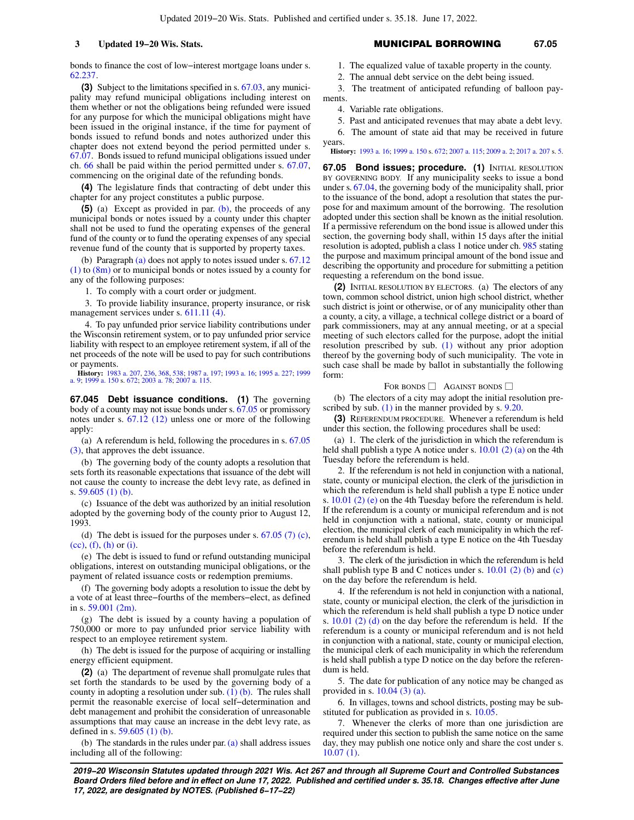bonds to finance the cost of low−interest mortgage loans under s. [62.237.](https://docs.legis.wisconsin.gov/document/statutes/62.237)

**(3)** Subject to the limitations specified in s. [67.03,](https://docs.legis.wisconsin.gov/document/statutes/67.03) any municipality may refund municipal obligations including interest on them whether or not the obligations being refunded were issued for any purpose for which the municipal obligations might have been issued in the original instance, if the time for payment of bonds issued to refund bonds and notes authorized under this chapter does not extend beyond the period permitted under s. [67.07](https://docs.legis.wisconsin.gov/document/statutes/67.07). Bonds issued to refund municipal obligations issued under ch. [66](https://docs.legis.wisconsin.gov/document/statutes/ch.%2066) shall be paid within the period permitted under s. [67.07,](https://docs.legis.wisconsin.gov/document/statutes/67.07) commencing on the original date of the refunding bonds.

**(4)** The legislature finds that contracting of debt under this chapter for any project constitutes a public purpose.

**(5)** (a) Except as provided in par. [\(b\)](https://docs.legis.wisconsin.gov/document/statutes/67.04(5)(b)), the proceeds of any municipal bonds or notes issued by a county under this chapter shall not be used to fund the operating expenses of the general fund of the county or to fund the operating expenses of any special revenue fund of the county that is supported by property taxes.

(b) Paragraph [\(a\)](https://docs.legis.wisconsin.gov/document/statutes/67.04(5)(a)) does not apply to notes issued under s. [67.12](https://docs.legis.wisconsin.gov/document/statutes/67.12(1))  $(1)$  to  $(8m)$  or to municipal bonds or notes issued by a county for any of the following purposes:

1. To comply with a court order or judgment.

3. To provide liability insurance, property insurance, or risk management services under s. [611.11 \(4\).](https://docs.legis.wisconsin.gov/document/statutes/611.11(4))

4. To pay unfunded prior service liability contributions under the Wisconsin retirement system, or to pay unfunded prior service liability with respect to an employee retirement system, if all of the net proceeds of the note will be used to pay for such contributions or payments.

**History:** [1983 a. 207,](https://docs.legis.wisconsin.gov/document/acts/1983/207) [236,](https://docs.legis.wisconsin.gov/document/acts/1983/236) [368](https://docs.legis.wisconsin.gov/document/acts/1983/368), [538](https://docs.legis.wisconsin.gov/document/acts/1983/538); [1987 a. 197;](https://docs.legis.wisconsin.gov/document/acts/1987/197) [1993 a. 16](https://docs.legis.wisconsin.gov/document/acts/1993/16); [1995 a. 227](https://docs.legis.wisconsin.gov/document/acts/1995/227); [1999](https://docs.legis.wisconsin.gov/document/acts/1999/9) [a. 9;](https://docs.legis.wisconsin.gov/document/acts/1999/9) [1999 a. 150](https://docs.legis.wisconsin.gov/document/acts/1999/150) s. [672](https://docs.legis.wisconsin.gov/document/acts/1999/150,%20s.%20672); [2003 a. 78](https://docs.legis.wisconsin.gov/document/acts/2003/78); [2007 a. 115.](https://docs.legis.wisconsin.gov/document/acts/2007/115)

**67.045 Debt issuance conditions. (1)** The governing body of a county may not issue bonds under s. [67.05](https://docs.legis.wisconsin.gov/document/statutes/67.05) or promissory notes under s. [67.12 \(12\)](https://docs.legis.wisconsin.gov/document/statutes/67.12(12)) unless one or more of the following apply:

(a) A referendum is held, following the procedures in s. [67.05](https://docs.legis.wisconsin.gov/document/statutes/67.05(3)) [\(3\)](https://docs.legis.wisconsin.gov/document/statutes/67.05(3)), that approves the debt issuance.

(b) The governing body of the county adopts a resolution that sets forth its reasonable expectations that issuance of the debt will not cause the county to increase the debt levy rate, as defined in s. [59.605 \(1\) \(b\)](https://docs.legis.wisconsin.gov/document/statutes/59.605(1)(b)).

(c) Issuance of the debt was authorized by an initial resolution adopted by the governing body of the county prior to August 12, 1993.

(d) The debt is issued for the purposes under s.  $67.05$  (7) (c), [\(cc\),](https://docs.legis.wisconsin.gov/document/statutes/67.05(7)(cc)) [\(f\)](https://docs.legis.wisconsin.gov/document/statutes/67.05(7)(f)), [\(h\)](https://docs.legis.wisconsin.gov/document/statutes/67.05(7)(h)) or [\(i\)](https://docs.legis.wisconsin.gov/document/statutes/67.05(7)(i)).

(e) The debt is issued to fund or refund outstanding municipal obligations, interest on outstanding municipal obligations, or the payment of related issuance costs or redemption premiums.

(f) The governing body adopts a resolution to issue the debt by a vote of at least three−fourths of the members−elect, as defined in s. [59.001 \(2m\).](https://docs.legis.wisconsin.gov/document/statutes/59.001(2m))

(g) The debt is issued by a county having a population of 750,000 or more to pay unfunded prior service liability with respect to an employee retirement system.

(h) The debt is issued for the purpose of acquiring or installing energy efficient equipment.

**(2)** (a) The department of revenue shall promulgate rules that set forth the standards to be used by the governing body of a county in adopting a resolution under sub.  $(1)$  (b). The rules shall permit the reasonable exercise of local self−determination and debt management and prohibit the consideration of unreasonable assumptions that may cause an increase in the debt levy rate, as defined in s. [59.605 \(1\) \(b\)](https://docs.legis.wisconsin.gov/document/statutes/59.605(1)(b)).

(b) The standards in the rules under par. [\(a\)](https://docs.legis.wisconsin.gov/document/statutes/67.045(2)(a)) shall address issues including all of the following:

# **3 Updated 19−20 Wis. Stats.** MUNICIPAL BORROWING **67.05**

1. The equalized value of taxable property in the county.

2. The annual debt service on the debt being issued.

3. The treatment of anticipated refunding of balloon payments.

4. Variable rate obligations.

5. Past and anticipated revenues that may abate a debt levy.

6. The amount of state aid that may be received in future years.

**History:** [1993 a. 16](https://docs.legis.wisconsin.gov/document/acts/1993/16); [1999 a. 150](https://docs.legis.wisconsin.gov/document/acts/1999/150) s. [672](https://docs.legis.wisconsin.gov/document/acts/1999/150,%20s.%20672); [2007 a. 115](https://docs.legis.wisconsin.gov/document/acts/2007/115); [2009 a. 2](https://docs.legis.wisconsin.gov/document/acts/2009/2); [2017 a. 207](https://docs.legis.wisconsin.gov/document/acts/2017/207) s. [5](https://docs.legis.wisconsin.gov/document/acts/2017/207,%20s.%205).

**67.05 Bond issues; procedure. (1)** INITIAL RESOLUTION BY GOVERNING BODY. If any municipality seeks to issue a bond under s. [67.04,](https://docs.legis.wisconsin.gov/document/statutes/67.04) the governing body of the municipality shall, prior to the issuance of the bond, adopt a resolution that states the purpose for and maximum amount of the borrowing. The resolution adopted under this section shall be known as the initial resolution. If a permissive referendum on the bond issue is allowed under this section, the governing body shall, within 15 days after the initial resolution is adopted, publish a class 1 notice under ch. [985](https://docs.legis.wisconsin.gov/document/statutes/ch.%20985) stating the purpose and maximum principal amount of the bond issue and describing the opportunity and procedure for submitting a petition requesting a referendum on the bond issue.

**(2)** INITIAL RESOLUTION BY ELECTORS. (a) The electors of any town, common school district, union high school district, whether such district is joint or otherwise, or of any municipality other than a county, a city, a village, a technical college district or a board of park commissioners, may at any annual meeting, or at a special meeting of such electors called for the purpose, adopt the initial resolution prescribed by sub. [\(1\)](https://docs.legis.wisconsin.gov/document/statutes/67.05(1)) without any prior adoption thereof by the governing body of such municipality. The vote in such case shall be made by ballot in substantially the following form:

### FOR BONDS  $\Box$  AGAINST BONDS  $\Box$

(b) The electors of a city may adopt the initial resolution pre-scribed by sub. [\(1\)](https://docs.legis.wisconsin.gov/document/statutes/67.05(1)) in the manner provided by s. [9.20](https://docs.legis.wisconsin.gov/document/statutes/9.20).

**(3)** REFERENDUM PROCEDURE. Whenever a referendum is held under this section, the following procedures shall be used:

(a) 1. The clerk of the jurisdiction in which the referendum is held shall publish a type A notice under s. [10.01 \(2\) \(a\)](https://docs.legis.wisconsin.gov/document/statutes/10.01(2)(a)) on the 4th Tuesday before the referendum is held.

2. If the referendum is not held in conjunction with a national, state, county or municipal election, the clerk of the jurisdiction in which the referendum is held shall publish a type E notice under s. [10.01 \(2\) \(e\)](https://docs.legis.wisconsin.gov/document/statutes/10.01(2)(e)) on the 4th Tuesday before the referendum is held. If the referendum is a county or municipal referendum and is not held in conjunction with a national, state, county or municipal election, the municipal clerk of each municipality in which the referendum is held shall publish a type E notice on the 4th Tuesday before the referendum is held.

3. The clerk of the jurisdiction in which the referendum is held shall publish type B and C notices under s.  $10.01$  (2) (b) and [\(c\)](https://docs.legis.wisconsin.gov/document/statutes/10.01(2)(c)) on the day before the referendum is held.

4. If the referendum is not held in conjunction with a national, state, county or municipal election, the clerk of the jurisdiction in which the referendum is held shall publish a type D notice under s. [10.01 \(2\) \(d\)](https://docs.legis.wisconsin.gov/document/statutes/10.01(2)(d)) on the day before the referendum is held. If the referendum is a county or municipal referendum and is not held in conjunction with a national, state, county or municipal election, the municipal clerk of each municipality in which the referendum is held shall publish a type D notice on the day before the referendum is held.

5. The date for publication of any notice may be changed as provided in s. [10.04 \(3\) \(a\)](https://docs.legis.wisconsin.gov/document/statutes/10.04(3)(a)).

6. In villages, towns and school districts, posting may be substituted for publication as provided in s. [10.05.](https://docs.legis.wisconsin.gov/document/statutes/10.05)

7. Whenever the clerks of more than one jurisdiction are required under this section to publish the same notice on the same day, they may publish one notice only and share the cost under s. [10.07 \(1\)](https://docs.legis.wisconsin.gov/document/statutes/10.07(1)).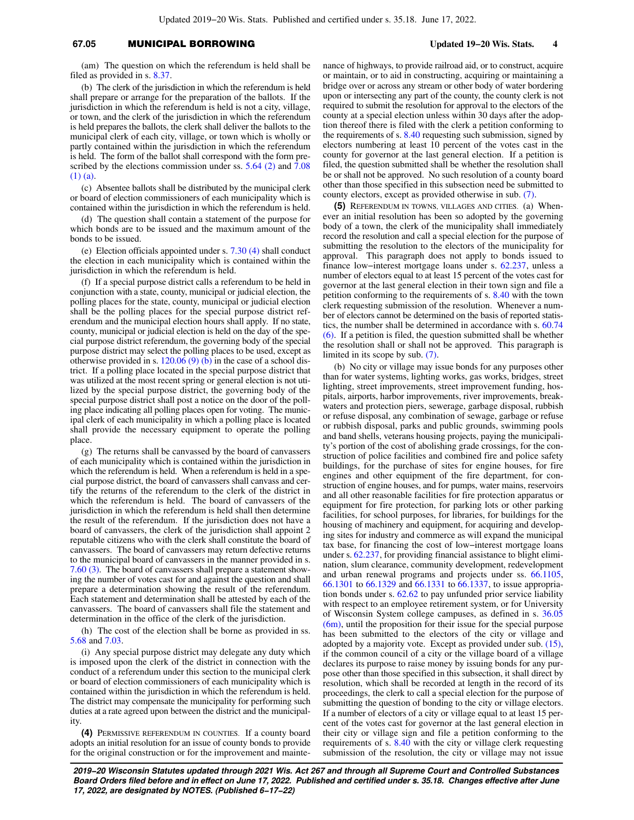# **67.05** MUNICIPAL BORROWING **Updated 19−20 Wis. Stats. 4**

(am) The question on which the referendum is held shall be filed as provided in s. [8.37](https://docs.legis.wisconsin.gov/document/statutes/8.37).

(b) The clerk of the jurisdiction in which the referendum is held shall prepare or arrange for the preparation of the ballots. If the jurisdiction in which the referendum is held is not a city, village, or town, and the clerk of the jurisdiction in which the referendum is held prepares the ballots, the clerk shall deliver the ballots to the municipal clerk of each city, village, or town which is wholly or partly contained within the jurisdiction in which the referendum is held. The form of the ballot shall correspond with the form pre-scribed by the elections commission under ss. [5.64 \(2\)](https://docs.legis.wisconsin.gov/document/statutes/5.64(2)) and [7.08](https://docs.legis.wisconsin.gov/document/statutes/7.08(1)(a)) [\(1\) \(a\).](https://docs.legis.wisconsin.gov/document/statutes/7.08(1)(a))

(c) Absentee ballots shall be distributed by the municipal clerk or board of election commissioners of each municipality which is contained within the jurisdiction in which the referendum is held.

(d) The question shall contain a statement of the purpose for which bonds are to be issued and the maximum amount of the bonds to be issued.

(e) Election officials appointed under s. [7.30 \(4\)](https://docs.legis.wisconsin.gov/document/statutes/7.30(4)) shall conduct the election in each municipality which is contained within the jurisdiction in which the referendum is held.

(f) If a special purpose district calls a referendum to be held in conjunction with a state, county, municipal or judicial election, the polling places for the state, county, municipal or judicial election shall be the polling places for the special purpose district referendum and the municipal election hours shall apply. If no state, county, municipal or judicial election is held on the day of the special purpose district referendum, the governing body of the special purpose district may select the polling places to be used, except as otherwise provided in s.  $120.06(9)(b)$  in the case of a school district. If a polling place located in the special purpose district that was utilized at the most recent spring or general election is not utilized by the special purpose district, the governing body of the special purpose district shall post a notice on the door of the polling place indicating all polling places open for voting. The municipal clerk of each municipality in which a polling place is located shall provide the necessary equipment to operate the polling place.

(g) The returns shall be canvassed by the board of canvassers of each municipality which is contained within the jurisdiction in which the referendum is held. When a referendum is held in a special purpose district, the board of canvassers shall canvass and certify the returns of the referendum to the clerk of the district in which the referendum is held. The board of canvassers of the jurisdiction in which the referendum is held shall then determine the result of the referendum. If the jurisdiction does not have a board of canvassers, the clerk of the jurisdiction shall appoint 2 reputable citizens who with the clerk shall constitute the board of canvassers. The board of canvassers may return defective returns to the municipal board of canvassers in the manner provided in s. [7.60 \(3\).](https://docs.legis.wisconsin.gov/document/statutes/7.60(3)) The board of canvassers shall prepare a statement showing the number of votes cast for and against the question and shall prepare a determination showing the result of the referendum. Each statement and determination shall be attested by each of the canvassers. The board of canvassers shall file the statement and determination in the office of the clerk of the jurisdiction.

(h) The cost of the election shall be borne as provided in ss. [5.68](https://docs.legis.wisconsin.gov/document/statutes/5.68) and [7.03](https://docs.legis.wisconsin.gov/document/statutes/7.03).

(i) Any special purpose district may delegate any duty which is imposed upon the clerk of the district in connection with the conduct of a referendum under this section to the municipal clerk or board of election commissioners of each municipality which is contained within the jurisdiction in which the referendum is held. The district may compensate the municipality for performing such duties at a rate agreed upon between the district and the municipality.

**(4)** PERMISSIVE REFERENDUM IN COUNTIES. If a county board adopts an initial resolution for an issue of county bonds to provide for the original construction or for the improvement and maintenance of highways, to provide railroad aid, or to construct, acquire or maintain, or to aid in constructing, acquiring or maintaining a bridge over or across any stream or other body of water bordering upon or intersecting any part of the county, the county clerk is not required to submit the resolution for approval to the electors of the county at a special election unless within 30 days after the adoption thereof there is filed with the clerk a petition conforming to the requirements of s. [8.40](https://docs.legis.wisconsin.gov/document/statutes/8.40) requesting such submission, signed by electors numbering at least 10 percent of the votes cast in the county for governor at the last general election. If a petition is filed, the question submitted shall be whether the resolution shall be or shall not be approved. No such resolution of a county board other than those specified in this subsection need be submitted to county electors, except as provided otherwise in sub. [\(7\)](https://docs.legis.wisconsin.gov/document/statutes/67.05(7)).

**(5)** REFERENDUM IN TOWNS, VILLAGES AND CITIES. (a) Whenever an initial resolution has been so adopted by the governing body of a town, the clerk of the municipality shall immediately record the resolution and call a special election for the purpose of submitting the resolution to the electors of the municipality for approval. This paragraph does not apply to bonds issued to finance low−interest mortgage loans under s. [62.237](https://docs.legis.wisconsin.gov/document/statutes/62.237), unless a number of electors equal to at least 15 percent of the votes cast for governor at the last general election in their town sign and file a petition conforming to the requirements of s. [8.40](https://docs.legis.wisconsin.gov/document/statutes/8.40) with the town clerk requesting submission of the resolution. Whenever a number of electors cannot be determined on the basis of reported statistics, the number shall be determined in accordance with s. [60.74](https://docs.legis.wisconsin.gov/document/statutes/60.74(6)) [\(6\).](https://docs.legis.wisconsin.gov/document/statutes/60.74(6)) If a petition is filed, the question submitted shall be whether the resolution shall or shall not be approved. This paragraph is limited in its scope by sub. [\(7\).](https://docs.legis.wisconsin.gov/document/statutes/67.05(7))

(b) No city or village may issue bonds for any purposes other than for water systems, lighting works, gas works, bridges, street lighting, street improvements, street improvement funding, hospitals, airports, harbor improvements, river improvements, breakwaters and protection piers, sewerage, garbage disposal, rubbish or refuse disposal, any combination of sewage, garbage or refuse or rubbish disposal, parks and public grounds, swimming pools and band shells, veterans housing projects, paying the municipality's portion of the cost of abolishing grade crossings, for the construction of police facilities and combined fire and police safety buildings, for the purchase of sites for engine houses, for fire engines and other equipment of the fire department, for construction of engine houses, and for pumps, water mains, reservoirs and all other reasonable facilities for fire protection apparatus or equipment for fire protection, for parking lots or other parking facilities, for school purposes, for libraries, for buildings for the housing of machinery and equipment, for acquiring and developing sites for industry and commerce as will expand the municipal tax base, for financing the cost of low−interest mortgage loans under s. [62.237,](https://docs.legis.wisconsin.gov/document/statutes/62.237) for providing financial assistance to blight elimination, slum clearance, community development, redevelopment and urban renewal programs and projects under ss. [66.1105,](https://docs.legis.wisconsin.gov/document/statutes/66.1105) [66.1301](https://docs.legis.wisconsin.gov/document/statutes/66.1301) to [66.1329](https://docs.legis.wisconsin.gov/document/statutes/66.1329) and [66.1331](https://docs.legis.wisconsin.gov/document/statutes/66.1331) to [66.1337,](https://docs.legis.wisconsin.gov/document/statutes/66.1337) to issue appropriation bonds under s. [62.62](https://docs.legis.wisconsin.gov/document/statutes/62.62) to pay unfunded prior service liability with respect to an employee retirement system, or for University of Wisconsin System college campuses, as defined in s. [36.05](https://docs.legis.wisconsin.gov/document/statutes/36.05(6m)) [\(6m\),](https://docs.legis.wisconsin.gov/document/statutes/36.05(6m)) until the proposition for their issue for the special purpose has been submitted to the electors of the city or village and adopted by a majority vote. Except as provided under sub. [\(15\),](https://docs.legis.wisconsin.gov/document/statutes/67.05(15)) if the common council of a city or the village board of a village declares its purpose to raise money by issuing bonds for any purpose other than those specified in this subsection, it shall direct by resolution, which shall be recorded at length in the record of its proceedings, the clerk to call a special election for the purpose of submitting the question of bonding to the city or village electors. If a number of electors of a city or village equal to at least 15 percent of the votes cast for governor at the last general election in their city or village sign and file a petition conforming to the requirements of s. [8.40](https://docs.legis.wisconsin.gov/document/statutes/8.40) with the city or village clerk requesting submission of the resolution, the city or village may not issue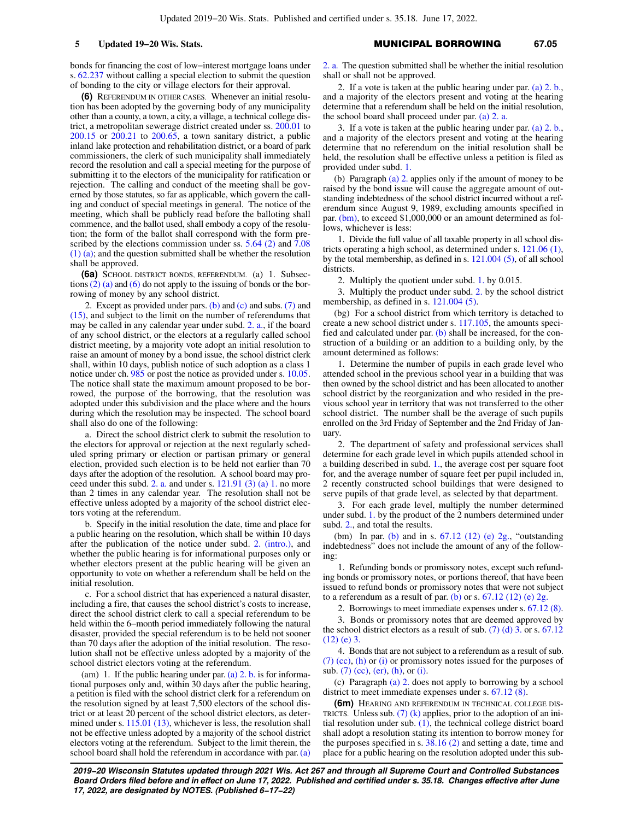bonds for financing the cost of low−interest mortgage loans under s. [62.237](https://docs.legis.wisconsin.gov/document/statutes/62.237) without calling a special election to submit the question of bonding to the city or village electors for their approval.

**(6)** REFERENDUM IN OTHER CASES. Whenever an initial resolution has been adopted by the governing body of any municipality other than a county, a town, a city, a village, a technical college district, a metropolitan sewerage district created under ss. [200.01](https://docs.legis.wisconsin.gov/document/statutes/200.01) to [200.15](https://docs.legis.wisconsin.gov/document/statutes/200.15) or [200.21](https://docs.legis.wisconsin.gov/document/statutes/200.21) to [200.65](https://docs.legis.wisconsin.gov/document/statutes/200.65), a town sanitary district, a public inland lake protection and rehabilitation district, or a board of park commissioners, the clerk of such municipality shall immediately record the resolution and call a special meeting for the purpose of submitting it to the electors of the municipality for ratification or rejection. The calling and conduct of the meeting shall be governed by those statutes, so far as applicable, which govern the calling and conduct of special meetings in general. The notice of the meeting, which shall be publicly read before the balloting shall commence, and the ballot used, shall embody a copy of the resolution; the form of the ballot shall correspond with the form pre-scribed by the elections commission under ss. [5.64 \(2\)](https://docs.legis.wisconsin.gov/document/statutes/5.64(2)) and [7.08](https://docs.legis.wisconsin.gov/document/statutes/7.08(1)(a)) [\(1\) \(a\)](https://docs.legis.wisconsin.gov/document/statutes/7.08(1)(a)); and the question submitted shall be whether the resolution shall be approved.

**(6a)** SCHOOL DISTRICT BONDS, REFERENDUM. (a) 1. Subsections  $(2)$  (a) and  $(6)$  do not apply to the issuing of bonds or the borrowing of money by any school district.

2. Except as provided under pars.  $(b)$  and  $(c)$  and subs.  $(7)$  and [\(15\),](https://docs.legis.wisconsin.gov/document/statutes/67.05(15)) and subject to the limit on the number of referendums that may be called in any calendar year under subd. [2. a.](https://docs.legis.wisconsin.gov/document/statutes/67.05(6a)(a)2.a.), if the board of any school district, or the electors at a regularly called school district meeting, by a majority vote adopt an initial resolution to raise an amount of money by a bond issue, the school district clerk shall, within 10 days, publish notice of such adoption as a class 1 notice under ch. [985](https://docs.legis.wisconsin.gov/document/statutes/ch.%20985) or post the notice as provided under s. [10.05.](https://docs.legis.wisconsin.gov/document/statutes/10.05) The notice shall state the maximum amount proposed to be borrowed, the purpose of the borrowing, that the resolution was adopted under this subdivision and the place where and the hours during which the resolution may be inspected. The school board shall also do one of the following:

a. Direct the school district clerk to submit the resolution to the electors for approval or rejection at the next regularly scheduled spring primary or election or partisan primary or general election, provided such election is to be held not earlier than 70 days after the adoption of the resolution. A school board may pro-ceed under this subd. [2. a.](https://docs.legis.wisconsin.gov/document/statutes/67.05(6a)(a)2.a.) and under s.  $121.91$  (3) (a) 1. no more than 2 times in any calendar year. The resolution shall not be effective unless adopted by a majority of the school district electors voting at the referendum.

b. Specify in the initial resolution the date, time and place for a public hearing on the resolution, which shall be within 10 days after the publication of the notice under subd. [2. \(intro.\)](https://docs.legis.wisconsin.gov/document/statutes/67.05(6a)(a)2.(intro.)), and whether the public hearing is for informational purposes only or whether electors present at the public hearing will be given an opportunity to vote on whether a referendum shall be held on the initial resolution.

c. For a school district that has experienced a natural disaster, including a fire, that causes the school district's costs to increase, direct the school district clerk to call a special referendum to be held within the 6−month period immediately following the natural disaster, provided the special referendum is to be held not sooner than 70 days after the adoption of the initial resolution. The resolution shall not be effective unless adopted by a majority of the school district electors voting at the referendum.

(am) 1. If the public hearing under par. [\(a\) 2. b.](https://docs.legis.wisconsin.gov/document/statutes/67.05(6a)(a)2.b.) is for informational purposes only and, within 30 days after the public hearing, a petition is filed with the school district clerk for a referendum on the resolution signed by at least 7,500 electors of the school district or at least 20 percent of the school district electors, as deter-mined under s. [115.01 \(13\),](https://docs.legis.wisconsin.gov/document/statutes/115.01(13)) whichever is less, the resolution shall not be effective unless adopted by a majority of the school district electors voting at the referendum. Subject to the limit therein, the school board shall hold the referendum in accordance with par. [\(a\)](https://docs.legis.wisconsin.gov/document/statutes/67.05(6a)(a)2.a.)

[2. a.](https://docs.legis.wisconsin.gov/document/statutes/67.05(6a)(a)2.a.) The question submitted shall be whether the initial resolution shall or shall not be approved.

2. If a vote is taken at the public hearing under par. [\(a\) 2. b.,](https://docs.legis.wisconsin.gov/document/statutes/67.05(6a)(a)2.b.) and a majority of the electors present and voting at the hearing determine that a referendum shall be held on the initial resolution, the school board shall proceed under par. [\(a\) 2. a.](https://docs.legis.wisconsin.gov/document/statutes/67.05(6a)(a)2.a.)

3. If a vote is taken at the public hearing under par. [\(a\) 2. b.,](https://docs.legis.wisconsin.gov/document/statutes/67.05(6a)(a)2.b.) and a majority of the electors present and voting at the hearing determine that no referendum on the initial resolution shall be held, the resolution shall be effective unless a petition is filed as provided under subd. [1.](https://docs.legis.wisconsin.gov/document/statutes/67.05(6a)(am)1.)

(b) Paragraph [\(a\) 2.](https://docs.legis.wisconsin.gov/document/statutes/67.05(6a)(a)2.) applies only if the amount of money to be raised by the bond issue will cause the aggregate amount of outstanding indebtedness of the school district incurred without a referendum since August 9, 1989, excluding amounts specified in par. [\(bm\)](https://docs.legis.wisconsin.gov/document/statutes/67.05(6a)(bm)), to exceed \$1,000,000 or an amount determined as follows, whichever is less:

1. Divide the full value of all taxable property in all school districts operating a high school, as determined under s. [121.06 \(1\),](https://docs.legis.wisconsin.gov/document/statutes/121.06(1)) by the total membership, as defined in s. [121.004 \(5\),](https://docs.legis.wisconsin.gov/document/statutes/121.004(5)) of all school districts.

2. Multiply the quotient under subd. [1.](https://docs.legis.wisconsin.gov/document/statutes/67.05(6a)(b)1.) by 0.015.

3. Multiply the product under subd. [2.](https://docs.legis.wisconsin.gov/document/statutes/67.05(6a)(b)2.) by the school district membership, as defined in s. [121.004 \(5\)](https://docs.legis.wisconsin.gov/document/statutes/121.004(5)).

(bg) For a school district from which territory is detached to create a new school district under s. [117.105](https://docs.legis.wisconsin.gov/document/statutes/117.105), the amounts specified and calculated under par.  $(b)$  shall be increased, for the construction of a building or an addition to a building only, by the amount determined as follows:

1. Determine the number of pupils in each grade level who attended school in the previous school year in a building that was then owned by the school district and has been allocated to another school district by the reorganization and who resided in the previous school year in territory that was not transferred to the other school district. The number shall be the average of such pupils enrolled on the 3rd Friday of September and the 2nd Friday of January.

2. The department of safety and professional services shall determine for each grade level in which pupils attended school in a building described in subd. [1.](https://docs.legis.wisconsin.gov/document/statutes/67.05(6a)(bg)1.), the average cost per square foot for, and the average number of square feet per pupil included in, 2 recently constructed school buildings that were designed to serve pupils of that grade level, as selected by that department.

3. For each grade level, multiply the number determined under subd. [1.](https://docs.legis.wisconsin.gov/document/statutes/67.05(6a)(bg)1.) by the product of the 2 numbers determined under subd. [2.](https://docs.legis.wisconsin.gov/document/statutes/67.05(6a)(bg)2.), and total the results.

(bm) In par. [\(b\)](https://docs.legis.wisconsin.gov/document/statutes/67.05(6a)(b)) and in s.  $67.12$  (12) (e) 2g., "outstanding indebtedness" does not include the amount of any of the following:

1. Refunding bonds or promissory notes, except such refunding bonds or promissory notes, or portions thereof, that have been issued to refund bonds or promissory notes that were not subject to a referendum as a result of par. [\(b\)](https://docs.legis.wisconsin.gov/document/statutes/67.05(6a)(b)) or s.  $67.12$  (12) (e) 2g.

2. Borrowings to meet immediate expenses under s. [67.12 \(8\).](https://docs.legis.wisconsin.gov/document/statutes/67.12(8))

3. Bonds or promissory notes that are deemed approved by the school district electors as a result of sub.  $(7)$  (d) 3. or s. [67.12](https://docs.legis.wisconsin.gov/document/statutes/67.12(12)(e)3.)  $(12)$  (e) 3.

4. Bonds that are not subject to a referendum as a result of sub. [\(7\) \(cc\),](https://docs.legis.wisconsin.gov/document/statutes/67.05(7)(cc)) [\(h\)](https://docs.legis.wisconsin.gov/document/statutes/67.05(7)(h)) or [\(i\)](https://docs.legis.wisconsin.gov/document/statutes/67.05(7)(i)) or promissory notes issued for the purposes of sub. [\(7\) \(cc\),](https://docs.legis.wisconsin.gov/document/statutes/67.05(7)(cc)) [\(er\),](https://docs.legis.wisconsin.gov/document/statutes/67.05(7)(er)) [\(h\),](https://docs.legis.wisconsin.gov/document/statutes/67.05(7)(h)) or [\(i\)](https://docs.legis.wisconsin.gov/document/statutes/67.05(7)(i)).

(c) Paragraph [\(a\) 2.](https://docs.legis.wisconsin.gov/document/statutes/67.05(6a)(a)2.) does not apply to borrowing by a school district to meet immediate expenses under s. [67.12 \(8\)](https://docs.legis.wisconsin.gov/document/statutes/67.12(8)).

**(6m)** HEARING AND REFERENDUM IN TECHNICAL COLLEGE DIS-TRICTS. Unless sub.  $(7)$  (k) applies, prior to the adoption of an initial resolution under sub.  $(1)$ , the technical college district board shall adopt a resolution stating its intention to borrow money for the purposes specified in s.  $38.16(2)$  and setting a date, time and place for a public hearing on the resolution adopted under this sub-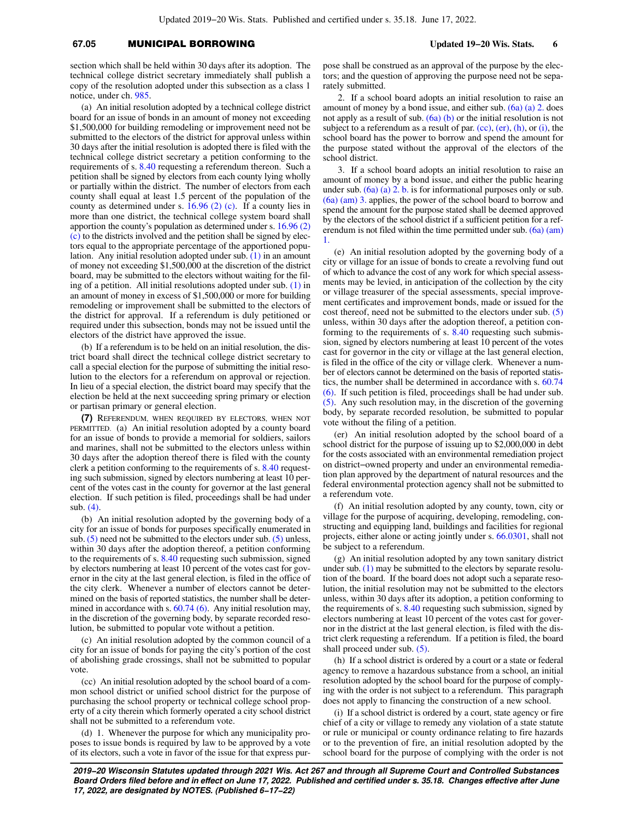# **67.05** MUNICIPAL BORROWING **Updated 19−20 Wis. Stats. 6**

section which shall be held within 30 days after its adoption. The technical college district secretary immediately shall publish a copy of the resolution adopted under this subsection as a class 1 notice, under ch. [985](https://docs.legis.wisconsin.gov/document/statutes/ch.%20985).

(a) An initial resolution adopted by a technical college district board for an issue of bonds in an amount of money not exceeding \$1,500,000 for building remodeling or improvement need not be submitted to the electors of the district for approval unless within 30 days after the initial resolution is adopted there is filed with the technical college district secretary a petition conforming to the requirements of s. [8.40](https://docs.legis.wisconsin.gov/document/statutes/8.40) requesting a referendum thereon. Such a petition shall be signed by electors from each county lying wholly or partially within the district. The number of electors from each county shall equal at least 1.5 percent of the population of the county as determined under s. [16.96 \(2\) \(c\)](https://docs.legis.wisconsin.gov/document/statutes/16.96(2)(c)). If a county lies in more than one district, the technical college system board shall apportion the county's population as determined under s. [16.96 \(2\)](https://docs.legis.wisconsin.gov/document/statutes/16.96(2)(c)) [\(c\)](https://docs.legis.wisconsin.gov/document/statutes/16.96(2)(c)) to the districts involved and the petition shall be signed by electors equal to the appropriate percentage of the apportioned population. Any initial resolution adopted under sub. [\(1\)](https://docs.legis.wisconsin.gov/document/statutes/67.05(1)) in an amount of money not exceeding \$1,500,000 at the discretion of the district board, may be submitted to the electors without waiting for the filing of a petition. All initial resolutions adopted under sub. [\(1\)](https://docs.legis.wisconsin.gov/document/statutes/67.05(1)) in an amount of money in excess of \$1,500,000 or more for building remodeling or improvement shall be submitted to the electors of the district for approval. If a referendum is duly petitioned or required under this subsection, bonds may not be issued until the electors of the district have approved the issue.

(b) If a referendum is to be held on an initial resolution, the district board shall direct the technical college district secretary to call a special election for the purpose of submitting the initial resolution to the electors for a referendum on approval or rejection. In lieu of a special election, the district board may specify that the election be held at the next succeeding spring primary or election or partisan primary or general election.

**(7)** REFERENDUM, WHEN REQUIRED BY ELECTORS, WHEN NOT PERMITTED. (a) An initial resolution adopted by a county board for an issue of bonds to provide a memorial for soldiers, sailors and marines, shall not be submitted to the electors unless within 30 days after the adoption thereof there is filed with the county clerk a petition conforming to the requirements of s. [8.40](https://docs.legis.wisconsin.gov/document/statutes/8.40) requesting such submission, signed by electors numbering at least 10 percent of the votes cast in the county for governor at the last general election. If such petition is filed, proceedings shall be had under sub. [\(4\)](https://docs.legis.wisconsin.gov/document/statutes/67.05(4)).

(b) An initial resolution adopted by the governing body of a city for an issue of bonds for purposes specifically enumerated in sub.  $(5)$  need not be submitted to the electors under sub.  $(5)$  unless, within 30 days after the adoption thereof, a petition conforming to the requirements of s. [8.40](https://docs.legis.wisconsin.gov/document/statutes/8.40) requesting such submission, signed by electors numbering at least 10 percent of the votes cast for governor in the city at the last general election, is filed in the office of the city clerk. Whenever a number of electors cannot be determined on the basis of reported statistics, the number shall be deter-mined in accordance with s. [60.74 \(6\)](https://docs.legis.wisconsin.gov/document/statutes/60.74(6)). Any initial resolution may, in the discretion of the governing body, by separate recorded resolution, be submitted to popular vote without a petition.

(c) An initial resolution adopted by the common council of a city for an issue of bonds for paying the city's portion of the cost of abolishing grade crossings, shall not be submitted to popular vote.

(cc) An initial resolution adopted by the school board of a common school district or unified school district for the purpose of purchasing the school property or technical college school property of a city therein which formerly operated a city school district shall not be submitted to a referendum vote.

(d) 1. Whenever the purpose for which any municipality proposes to issue bonds is required by law to be approved by a vote of its electors, such a vote in favor of the issue for that express pur-

pose shall be construed as an approval of the purpose by the electors; and the question of approving the purpose need not be separately submitted.

2. If a school board adopts an initial resolution to raise an amount of money by a bond issue, and either sub. [\(6a\) \(a\) 2.](https://docs.legis.wisconsin.gov/document/statutes/67.05(6a)(a)2.) does not apply as a result of sub.  $(6a)$  (b) or the initial resolution is not subject to a referendum as a result of par.  $(cc)$ ,  $(er)$ ,  $(h)$ , or  $(i)$ , the school board has the power to borrow and spend the amount for the purpose stated without the approval of the electors of the school district.

3. If a school board adopts an initial resolution to raise an amount of money by a bond issue, and either the public hearing under sub. [\(6a\) \(a\) 2. b.](https://docs.legis.wisconsin.gov/document/statutes/67.05(6a)(a)2.b.) is for informational purposes only or sub. [\(6a\) \(am\) 3.](https://docs.legis.wisconsin.gov/document/statutes/67.05(6a)(am)3.) applies, the power of the school board to borrow and spend the amount for the purpose stated shall be deemed approved by the electors of the school district if a sufficient petition for a referendum is not filed within the time permitted under sub. [\(6a\) \(am\)](https://docs.legis.wisconsin.gov/document/statutes/67.05(6a)(am)1.) [1.](https://docs.legis.wisconsin.gov/document/statutes/67.05(6a)(am)1.)

(e) An initial resolution adopted by the governing body of a city or village for an issue of bonds to create a revolving fund out of which to advance the cost of any work for which special assessments may be levied, in anticipation of the collection by the city or village treasurer of the special assessments, special improvement certificates and improvement bonds, made or issued for the cost thereof, need not be submitted to the electors under sub. [\(5\)](https://docs.legis.wisconsin.gov/document/statutes/67.05(5)) unless, within 30 days after the adoption thereof, a petition conforming to the requirements of s. [8.40](https://docs.legis.wisconsin.gov/document/statutes/8.40) requesting such submission, signed by electors numbering at least 10 percent of the votes cast for governor in the city or village at the last general election, is filed in the office of the city or village clerk. Whenever a number of electors cannot be determined on the basis of reported statistics, the number shall be determined in accordance with s. [60.74](https://docs.legis.wisconsin.gov/document/statutes/60.74(6)) [\(6\).](https://docs.legis.wisconsin.gov/document/statutes/60.74(6)) If such petition is filed, proceedings shall be had under sub. [\(5\).](https://docs.legis.wisconsin.gov/document/statutes/67.05(5)) Any such resolution may, in the discretion of the governing body, by separate recorded resolution, be submitted to popular vote without the filing of a petition.

(er) An initial resolution adopted by the school board of a school district for the purpose of issuing up to \$2,000,000 in debt for the costs associated with an environmental remediation project on district−owned property and under an environmental remediation plan approved by the department of natural resources and the federal environmental protection agency shall not be submitted to a referendum vote.

(f) An initial resolution adopted by any county, town, city or village for the purpose of acquiring, developing, remodeling, constructing and equipping land, buildings and facilities for regional projects, either alone or acting jointly under s. [66.0301](https://docs.legis.wisconsin.gov/document/statutes/66.0301), shall not be subject to a referendum.

(g) An initial resolution adopted by any town sanitary district under sub. [\(1\)](https://docs.legis.wisconsin.gov/document/statutes/67.05(1)) may be submitted to the electors by separate resolution of the board. If the board does not adopt such a separate resolution, the initial resolution may not be submitted to the electors unless, within 30 days after its adoption, a petition conforming to the requirements of s. [8.40](https://docs.legis.wisconsin.gov/document/statutes/8.40) requesting such submission, signed by electors numbering at least 10 percent of the votes cast for governor in the district at the last general election, is filed with the district clerk requesting a referendum. If a petition is filed, the board shall proceed under sub. [\(5\).](https://docs.legis.wisconsin.gov/document/statutes/67.05(5))

(h) If a school district is ordered by a court or a state or federal agency to remove a hazardous substance from a school, an initial resolution adopted by the school board for the purpose of complying with the order is not subject to a referendum. This paragraph does not apply to financing the construction of a new school.

(i) If a school district is ordered by a court, state agency or fire chief of a city or village to remedy any violation of a state statute or rule or municipal or county ordinance relating to fire hazards or to the prevention of fire, an initial resolution adopted by the school board for the purpose of complying with the order is not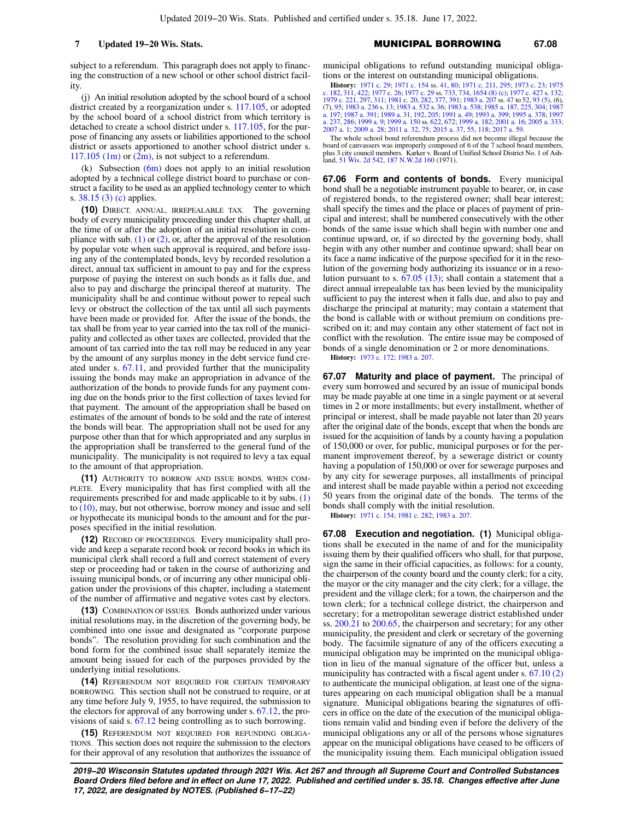subject to a referendum. This paragraph does not apply to financing the construction of a new school or other school district facility.

(j) An initial resolution adopted by the school board of a school district created by a reorganization under s. [117.105,](https://docs.legis.wisconsin.gov/document/statutes/117.105) or adopted by the school board of a school district from which territory is detached to create a school district under s. [117.105,](https://docs.legis.wisconsin.gov/document/statutes/117.105) for the purpose of financing any assets or liabilities apportioned to the school district or assets apportioned to another school district under s.  $117.105$  (1m) or [\(2m\)](https://docs.legis.wisconsin.gov/document/statutes/117.105(2m)), is not subject to a referendum.

(k) Subsection  $(6m)$  does not apply to an initial resolution adopted by a technical college district board to purchase or construct a facility to be used as an applied technology center to which s. [38.15 \(3\) \(c\)](https://docs.legis.wisconsin.gov/document/statutes/38.15(3)(c)) applies.

**(10)** DIRECT, ANNUAL, IRREPEALABLE TAX. The governing body of every municipality proceeding under this chapter shall, at the time of or after the adoption of an initial resolution in compliance with sub.  $(1)$  or  $(2)$ , or, after the approval of the resolution by popular vote when such approval is required, and before issuing any of the contemplated bonds, levy by recorded resolution a direct, annual tax sufficient in amount to pay and for the express purpose of paying the interest on such bonds as it falls due, and also to pay and discharge the principal thereof at maturity. The municipality shall be and continue without power to repeal such levy or obstruct the collection of the tax until all such payments have been made or provided for. After the issue of the bonds, the tax shall be from year to year carried into the tax roll of the municipality and collected as other taxes are collected, provided that the amount of tax carried into the tax roll may be reduced in any year by the amount of any surplus money in the debt service fund created under s. [67.11,](https://docs.legis.wisconsin.gov/document/statutes/67.11) and provided further that the municipality issuing the bonds may make an appropriation in advance of the authorization of the bonds to provide funds for any payment coming due on the bonds prior to the first collection of taxes levied for that payment. The amount of the appropriation shall be based on estimates of the amount of bonds to be sold and the rate of interest the bonds will bear. The appropriation shall not be used for any purpose other than that for which appropriated and any surplus in the appropriation shall be transferred to the general fund of the municipality. The municipality is not required to levy a tax equal to the amount of that appropriation.

**(11)** AUTHORITY TO BORROW AND ISSUE BONDS, WHEN COM-PLETE. Every municipality that has first complied with all the requirements prescribed for and made applicable to it by subs. [\(1\)](https://docs.legis.wisconsin.gov/document/statutes/67.05(1)) to [\(10\),](https://docs.legis.wisconsin.gov/document/statutes/67.05(10)) may, but not otherwise, borrow money and issue and sell or hypothecate its municipal bonds to the amount and for the purposes specified in the initial resolution.

**(12)** RECORD OF PROCEEDINGS. Every municipality shall provide and keep a separate record book or record books in which its municipal clerk shall record a full and correct statement of every step or proceeding had or taken in the course of authorizing and issuing municipal bonds, or of incurring any other municipal obligation under the provisions of this chapter, including a statement of the number of affirmative and negative votes cast by electors.

**(13)** COMBINATION OF ISSUES. Bonds authorized under various initial resolutions may, in the discretion of the governing body, be combined into one issue and designated as "corporate purpose bonds". The resolution providing for such combination and the bond form for the combined issue shall separately itemize the amount being issued for each of the purposes provided by the underlying initial resolutions.

**(14)** REFERENDUM NOT REQUIRED FOR CERTAIN TEMPORARY BORROWING. This section shall not be construed to require, or at any time before July 9, 1955, to have required, the submission to the electors for approval of any borrowing under s. [67.12](https://docs.legis.wisconsin.gov/document/statutes/67.12), the provisions of said s. [67.12](https://docs.legis.wisconsin.gov/document/statutes/67.12) being controlling as to such borrowing.

**(15)** REFERENDUM NOT REQUIRED FOR REFUNDING OBLIGA-TIONS. This section does not require the submission to the electors for their approval of any resolution that authorizes the issuance of municipal obligations to refund outstanding municipal obligations or the interest on outstanding municipal obligations.

**History:** [1971 c. 29](https://docs.legis.wisconsin.gov/document/acts/1971/29); [1971 c. 154](https://docs.legis.wisconsin.gov/document/acts/1971/154) ss. [41](https://docs.legis.wisconsin.gov/document/acts/1971/154,%20s.%2041), [80;](https://docs.legis.wisconsin.gov/document/acts/1971/154,%20s.%2080) [1971 c. 211](https://docs.legis.wisconsin.gov/document/acts/1971/211), [295](https://docs.legis.wisconsin.gov/document/acts/1971/295); [1973 c. 23;](https://docs.legis.wisconsin.gov/document/acts/1973/23) [1975](https://docs.legis.wisconsin.gov/document/acts/1975/182) [c. 182,](https://docs.legis.wisconsin.gov/document/acts/1975/182) [311](https://docs.legis.wisconsin.gov/document/acts/1975/311), [422;](https://docs.legis.wisconsin.gov/document/acts/1975/422) [1977 c. 26;](https://docs.legis.wisconsin.gov/document/acts/1977/26) [1977 c. 29](https://docs.legis.wisconsin.gov/document/acts/1977/29) ss. [733,](https://docs.legis.wisconsin.gov/document/acts/1977/29,%20s.%20733) [734](https://docs.legis.wisconsin.gov/document/acts/1977/29,%20s.%20734), [1654 \(8\) \(c\)](https://docs.legis.wisconsin.gov/document/acts/1977/29,%20s.%201654); [1977 c. 427](https://docs.legis.wisconsin.gov/document/acts/1977/427) s. [132](https://docs.legis.wisconsin.gov/document/acts/1977/427,%20s.%20132);<br>[1979 c. 221](https://docs.legis.wisconsin.gov/document/acts/1979/221), [297,](https://docs.legis.wisconsin.gov/document/acts/1979/297) [311](https://docs.legis.wisconsin.gov/document/acts/1979/311); [1981 c. 20](https://docs.legis.wisconsin.gov/document/acts/1981/20), [282,](https://docs.legis.wisconsin.gov/document/acts/1981/282) [377,](https://docs.legis.wisconsin.gov/document/acts/1981/377) [391](https://docs.legis.wisconsin.gov/document/acts/1981/391); [1983 a. 207](https://docs.legis.wisconsin.gov/document/acts/1983/207) ss. [47](https://docs.legis.wisconsin.gov/document/acts/1983/207,%20s.%2047) to [52,](https://docs.legis.wisconsin.gov/document/acts/1983/207,%20s.%2052) [93 \(5\)](https://docs.legis.wisconsin.gov/document/acts/1983/207,%20s.%2093), (6),<br>(7), [95](https://docs.legis.wisconsin.gov/document/acts/1983/207,%20s.%2095); [1983 a. 236](https://docs.legis.wisconsin.gov/document/acts/1983/236) s. [13;](https://docs.legis.wisconsin.gov/document/acts/1983/236,%20s.%2013) [1983 a. 532](https://docs.legis.wisconsin.gov/document/acts/1983/532) s. 3 [a. 197;](https://docs.legis.wisconsin.gov/document/acts/1987/197) [1987 a. 391](https://docs.legis.wisconsin.gov/document/acts/1987/391); [1989 a. 31](https://docs.legis.wisconsin.gov/document/acts/1989/31), [192](https://docs.legis.wisconsin.gov/document/acts/1989/192), [205;](https://docs.legis.wisconsin.gov/document/acts/1989/205) [1991 a. 49;](https://docs.legis.wisconsin.gov/document/acts/1991/49) [1993 a. 399](https://docs.legis.wisconsin.gov/document/acts/1993/399); [1995 a. 378;](https://docs.legis.wisconsin.gov/document/acts/1995/378) [1997](https://docs.legis.wisconsin.gov/document/acts/1997/237) [a. 237,](https://docs.legis.wisconsin.gov/document/acts/1997/237) [286](https://docs.legis.wisconsin.gov/document/acts/1997/286); [1999 a. 9;](https://docs.legis.wisconsin.gov/document/acts/1999/9) [1999 a. 150](https://docs.legis.wisconsin.gov/document/acts/1999/150) ss. [622](https://docs.legis.wisconsin.gov/document/acts/1999/150,%20s.%20622), [672;](https://docs.legis.wisconsin.gov/document/acts/1999/150,%20s.%20672) [1999 a. 182](https://docs.legis.wisconsin.gov/document/acts/1999/182); [2001 a. 16](https://docs.legis.wisconsin.gov/document/acts/2001/16); [2005 a. 333](https://docs.legis.wisconsin.gov/document/acts/2005/333); [2007 a. 1;](https://docs.legis.wisconsin.gov/document/acts/2007/1) [2009 a. 28](https://docs.legis.wisconsin.gov/document/acts/2009/28); [2011 a. 32,](https://docs.legis.wisconsin.gov/document/acts/2011/32) [75;](https://docs.legis.wisconsin.gov/document/acts/2011/75) [2015 a. 37,](https://docs.legis.wisconsin.gov/document/acts/2015/37) [55](https://docs.legis.wisconsin.gov/document/acts/2015/55), [118](https://docs.legis.wisconsin.gov/document/acts/2015/118); [2017 a. 59](https://docs.legis.wisconsin.gov/document/acts/2017/59).

The whole school bond referendum process did not become illegal because the board of canvassers was improperly composed of 6 of the 7 school board members, plus 3 city council members. Karker v. Board of Unified School District No. 1 of Ash-land, [51 Wis. 2d 542](https://docs.legis.wisconsin.gov/document/courts/51%20Wis.%202d%20542), [187 N.W.2d 160](https://docs.legis.wisconsin.gov/document/courts/187%20N.W.2d%20160) (1971).

**67.06 Form and contents of bonds.** Every municipal bond shall be a negotiable instrument payable to bearer, or, in case of registered bonds, to the registered owner; shall bear interest; shall specify the times and the place or places of payment of principal and interest; shall be numbered consecutively with the other bonds of the same issue which shall begin with number one and continue upward, or, if so directed by the governing body, shall begin with any other number and continue upward; shall bear on its face a name indicative of the purpose specified for it in the resolution of the governing body authorizing its issuance or in a resolution pursuant to s. [67.05 \(13\);](https://docs.legis.wisconsin.gov/document/statutes/67.05(13)) shall contain a statement that a direct annual irrepealable tax has been levied by the municipality sufficient to pay the interest when it falls due, and also to pay and discharge the principal at maturity; may contain a statement that the bond is callable with or without premium on conditions prescribed on it; and may contain any other statement of fact not in conflict with the resolution. The entire issue may be composed of bonds of a single denomination or 2 or more denominations.

**History:** [1973 c. 172;](https://docs.legis.wisconsin.gov/document/acts/1973/172) [1983 a. 207](https://docs.legis.wisconsin.gov/document/acts/1983/207).

**67.07 Maturity and place of payment.** The principal of every sum borrowed and secured by an issue of municipal bonds may be made payable at one time in a single payment or at several times in 2 or more installments; but every installment, whether of principal or interest, shall be made payable not later than 20 years after the original date of the bonds, except that when the bonds are issued for the acquisition of lands by a county having a population of 150,000 or over, for public, municipal purposes or for the permanent improvement thereof, by a sewerage district or county having a population of 150,000 or over for sewerage purposes and by any city for sewerage purposes, all installments of principal and interest shall be made payable within a period not exceeding 50 years from the original date of the bonds. The terms of the bonds shall comply with the initial resolution.

**History:** [1971 c. 154;](https://docs.legis.wisconsin.gov/document/acts/1971/154) [1981 c. 282](https://docs.legis.wisconsin.gov/document/acts/1981/282); [1983 a. 207.](https://docs.legis.wisconsin.gov/document/acts/1983/207)

**67.08 Execution and negotiation. (1)** Municipal obligations shall be executed in the name of and for the municipality issuing them by their qualified officers who shall, for that purpose, sign the same in their official capacities, as follows: for a county, the chairperson of the county board and the county clerk; for a city, the mayor or the city manager and the city clerk; for a village, the president and the village clerk; for a town, the chairperson and the town clerk; for a technical college district, the chairperson and secretary; for a metropolitan sewerage district established under ss. [200.21](https://docs.legis.wisconsin.gov/document/statutes/200.21) to [200.65](https://docs.legis.wisconsin.gov/document/statutes/200.65), the chairperson and secretary; for any other municipality, the president and clerk or secretary of the governing body. The facsimile signature of any of the officers executing a municipal obligation may be imprinted on the municipal obligation in lieu of the manual signature of the officer but, unless a municipality has contracted with a fiscal agent under s. [67.10 \(2\)](https://docs.legis.wisconsin.gov/document/statutes/67.10(2)) to authenticate the municipal obligation, at least one of the signatures appearing on each municipal obligation shall be a manual signature. Municipal obligations bearing the signatures of officers in office on the date of the execution of the municipal obligations remain valid and binding even if before the delivery of the municipal obligations any or all of the persons whose signatures appear on the municipal obligations have ceased to be officers of the municipality issuing them. Each municipal obligation issued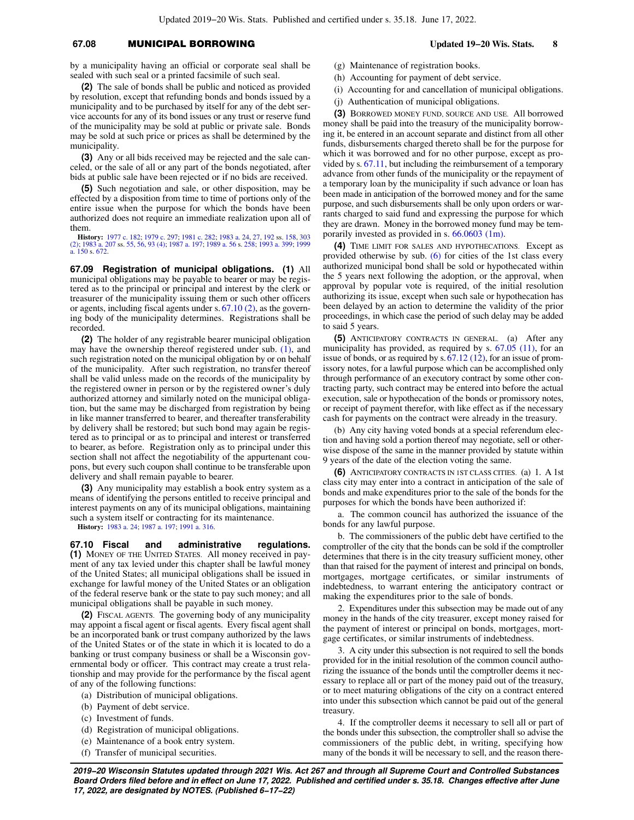## **67.08** MUNICIPAL BORROWING **Updated 19−20 Wis. Stats. 8**

by a municipality having an official or corporate seal shall be sealed with such seal or a printed facsimile of such seal.

**(2)** The sale of bonds shall be public and noticed as provided by resolution, except that refunding bonds and bonds issued by a municipality and to be purchased by itself for any of the debt service accounts for any of its bond issues or any trust or reserve fund of the municipality may be sold at public or private sale. Bonds may be sold at such price or prices as shall be determined by the municipality.

**(3)** Any or all bids received may be rejected and the sale canceled, or the sale of all or any part of the bonds negotiated, after bids at public sale have been rejected or if no bids are received.

**(5)** Such negotiation and sale, or other disposition, may be effected by a disposition from time to time of portions only of the entire issue when the purpose for which the bonds have been authorized does not require an immediate realization upon all of them.

**History:** [1977 c. 182;](https://docs.legis.wisconsin.gov/document/acts/1977/182) [1979 c. 297;](https://docs.legis.wisconsin.gov/document/acts/1979/297) [1981 c. 282](https://docs.legis.wisconsin.gov/document/acts/1981/282); [1983 a. 24,](https://docs.legis.wisconsin.gov/document/acts/1983/24) [27](https://docs.legis.wisconsin.gov/document/acts/1983/27), [192](https://docs.legis.wisconsin.gov/document/acts/1983/192) ss. [158](https://docs.legis.wisconsin.gov/document/acts/1983/192,%20s.%20158), [303](https://docs.legis.wisconsin.gov/document/acts/1983/192,%20s.%20303) [\(2\);](https://docs.legis.wisconsin.gov/document/acts/1983/192,%20s.%20303) [1983 a. 207](https://docs.legis.wisconsin.gov/document/acts/1983/207) ss. [55](https://docs.legis.wisconsin.gov/document/acts/1983/207,%20s.%2055), [56,](https://docs.legis.wisconsin.gov/document/acts/1983/207,%20s.%2056) [93 \(4\);](https://docs.legis.wisconsin.gov/document/acts/1983/207,%20s.%2093) [1987 a. 197;](https://docs.legis.wisconsin.gov/document/acts/1987/197) [1989 a. 56](https://docs.legis.wisconsin.gov/document/acts/1989/56) s. [258](https://docs.legis.wisconsin.gov/document/acts/1989/56,%20s.%20258); [1993 a. 399;](https://docs.legis.wisconsin.gov/document/acts/1993/399) [1999](https://docs.legis.wisconsin.gov/document/acts/1999/150) [a. 150](https://docs.legis.wisconsin.gov/document/acts/1999/150) s. [672](https://docs.legis.wisconsin.gov/document/acts/1999/150,%20s.%20672).

**67.09 Registration of municipal obligations. (1)** All municipal obligations may be payable to bearer or may be registered as to the principal or principal and interest by the clerk or treasurer of the municipality issuing them or such other officers or agents, including fiscal agents under s. [67.10 \(2\),](https://docs.legis.wisconsin.gov/document/statutes/67.10(2)) as the governing body of the municipality determines. Registrations shall be recorded.

**(2)** The holder of any registrable bearer municipal obligation may have the ownership thereof registered under sub. [\(1\),](https://docs.legis.wisconsin.gov/document/statutes/67.09(1)) and such registration noted on the municipal obligation by or on behalf of the municipality. After such registration, no transfer thereof shall be valid unless made on the records of the municipality by the registered owner in person or by the registered owner's duly authorized attorney and similarly noted on the municipal obligation, but the same may be discharged from registration by being in like manner transferred to bearer, and thereafter transferability by delivery shall be restored; but such bond may again be registered as to principal or as to principal and interest or transferred to bearer, as before. Registration only as to principal under this section shall not affect the negotiability of the appurtenant coupons, but every such coupon shall continue to be transferable upon delivery and shall remain payable to bearer.

**(3)** Any municipality may establish a book entry system as a means of identifying the persons entitled to receive principal and interest payments on any of its municipal obligations, maintaining such a system itself or contracting for its maintenance.

**History:** [1983 a. 24;](https://docs.legis.wisconsin.gov/document/acts/1983/24) [1987 a. 197;](https://docs.legis.wisconsin.gov/document/acts/1987/197) [1991 a. 316](https://docs.legis.wisconsin.gov/document/acts/1991/316).

**67.10 Fiscal and administrative regulations. (1)** MONEY OF THE UNITED STATES. All money received in payment of any tax levied under this chapter shall be lawful money of the United States; all municipal obligations shall be issued in exchange for lawful money of the United States or an obligation of the federal reserve bank or the state to pay such money; and all municipal obligations shall be payable in such money.

**(2)** FISCAL AGENTS. The governing body of any municipality may appoint a fiscal agent or fiscal agents. Every fiscal agent shall be an incorporated bank or trust company authorized by the laws of the United States or of the state in which it is located to do a banking or trust company business or shall be a Wisconsin governmental body or officer. This contract may create a trust relationship and may provide for the performance by the fiscal agent of any of the following functions:

- (a) Distribution of municipal obligations.
- (b) Payment of debt service.
- (c) Investment of funds.
- (d) Registration of municipal obligations.
- (e) Maintenance of a book entry system.
- (f) Transfer of municipal securities.
- (g) Maintenance of registration books.
- (h) Accounting for payment of debt service.
- (i) Accounting for and cancellation of municipal obligations.
- (j) Authentication of municipal obligations.

**(3)** BORROWED MONEY FUND, SOURCE AND USE. All borrowed money shall be paid into the treasury of the municipality borrowing it, be entered in an account separate and distinct from all other funds, disbursements charged thereto shall be for the purpose for which it was borrowed and for no other purpose, except as provided by s. [67.11,](https://docs.legis.wisconsin.gov/document/statutes/67.11) but including the reimbursement of a temporary advance from other funds of the municipality or the repayment of a temporary loan by the municipality if such advance or loan has been made in anticipation of the borrowed money and for the same purpose, and such disbursements shall be only upon orders or warrants charged to said fund and expressing the purpose for which they are drawn. Money in the borrowed money fund may be temporarily invested as provided in s. [66.0603 \(1m\)](https://docs.legis.wisconsin.gov/document/statutes/66.0603(1m)).

**(4)** TIME LIMIT FOR SALES AND HYPOTHECATIONS. Except as provided otherwise by sub. [\(6\)](https://docs.legis.wisconsin.gov/document/statutes/67.10(6)) for cities of the 1st class every authorized municipal bond shall be sold or hypothecated within the 5 years next following the adoption, or the approval, when approval by popular vote is required, of the initial resolution authorizing its issue, except when such sale or hypothecation has been delayed by an action to determine the validity of the prior proceedings, in which case the period of such delay may be added to said 5 years.

**(5)** ANTICIPATORY CONTRACTS IN GENERAL. (a) After any municipality has provided, as required by s. [67.05 \(11\),](https://docs.legis.wisconsin.gov/document/statutes/67.05(11)) for an issue of bonds, or as required by s.  $67.12$  (12), for an issue of promissory notes, for a lawful purpose which can be accomplished only through performance of an executory contract by some other contracting party, such contract may be entered into before the actual execution, sale or hypothecation of the bonds or promissory notes, or receipt of payment therefor, with like effect as if the necessary cash for payments on the contract were already in the treasury.

(b) Any city having voted bonds at a special referendum election and having sold a portion thereof may negotiate, sell or otherwise dispose of the same in the manner provided by statute within 9 years of the date of the election voting the same.

**(6)** ANTICIPATORY CONTRACTS IN 1ST CLASS CITIES. (a) 1. A 1st class city may enter into a contract in anticipation of the sale of bonds and make expenditures prior to the sale of the bonds for the purposes for which the bonds have been authorized if:

a. The common council has authorized the issuance of the bonds for any lawful purpose.

b. The commissioners of the public debt have certified to the comptroller of the city that the bonds can be sold if the comptroller determines that there is in the city treasury sufficient money, other than that raised for the payment of interest and principal on bonds, mortgages, mortgage certificates, or similar instruments of indebtedness, to warrant entering the anticipatory contract or making the expenditures prior to the sale of bonds.

2. Expenditures under this subsection may be made out of any money in the hands of the city treasurer, except money raised for the payment of interest or principal on bonds, mortgages, mortgage certificates, or similar instruments of indebtedness.

3. A city under this subsection is not required to sell the bonds provided for in the initial resolution of the common council authorizing the issuance of the bonds until the comptroller deems it necessary to replace all or part of the money paid out of the treasury, or to meet maturing obligations of the city on a contract entered into under this subsection which cannot be paid out of the general treasury.

4. If the comptroller deems it necessary to sell all or part of the bonds under this subsection, the comptroller shall so advise the commissioners of the public debt, in writing, specifying how many of the bonds it will be necessary to sell, and the reason there-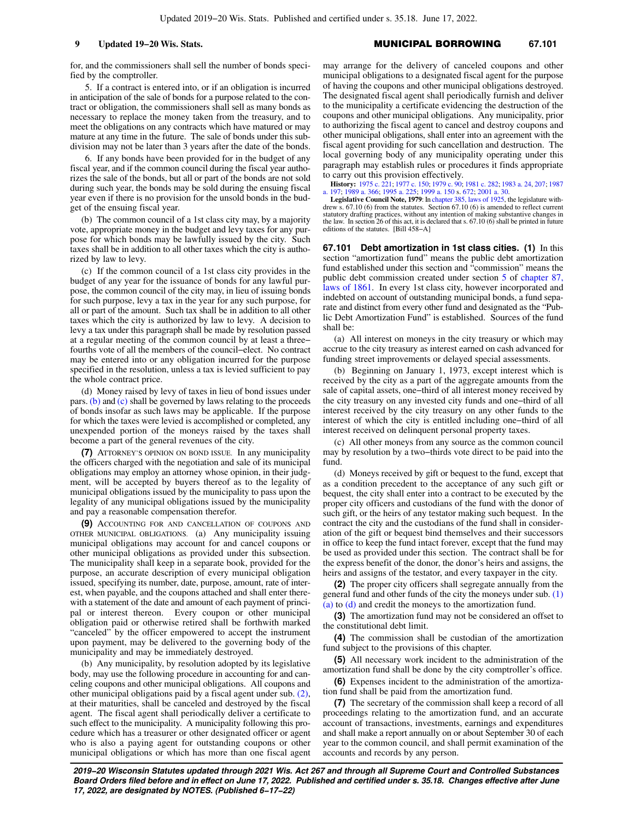for, and the commissioners shall sell the number of bonds specified by the comptroller.

5. If a contract is entered into, or if an obligation is incurred in anticipation of the sale of bonds for a purpose related to the contract or obligation, the commissioners shall sell as many bonds as necessary to replace the money taken from the treasury, and to meet the obligations on any contracts which have matured or may mature at any time in the future. The sale of bonds under this subdivision may not be later than 3 years after the date of the bonds.

6. If any bonds have been provided for in the budget of any fiscal year, and if the common council during the fiscal year authorizes the sale of the bonds, but all or part of the bonds are not sold during such year, the bonds may be sold during the ensuing fiscal year even if there is no provision for the unsold bonds in the budget of the ensuing fiscal year.

(b) The common council of a 1st class city may, by a majority vote, appropriate money in the budget and levy taxes for any purpose for which bonds may be lawfully issued by the city. Such taxes shall be in addition to all other taxes which the city is authorized by law to levy.

(c) If the common council of a 1st class city provides in the budget of any year for the issuance of bonds for any lawful purpose, the common council of the city may, in lieu of issuing bonds for such purpose, levy a tax in the year for any such purpose, for all or part of the amount. Such tax shall be in addition to all other taxes which the city is authorized by law to levy. A decision to levy a tax under this paragraph shall be made by resolution passed at a regular meeting of the common council by at least a three− fourths vote of all the members of the council−elect. No contract may be entered into or any obligation incurred for the purpose specified in the resolution, unless a tax is levied sufficient to pay the whole contract price.

(d) Money raised by levy of taxes in lieu of bond issues under pars. [\(b\)](https://docs.legis.wisconsin.gov/document/statutes/67.10(6)(b)) and [\(c\)](https://docs.legis.wisconsin.gov/document/statutes/67.10(6)(c)) shall be governed by laws relating to the proceeds of bonds insofar as such laws may be applicable. If the purpose for which the taxes were levied is accomplished or completed, any unexpended portion of the moneys raised by the taxes shall become a part of the general revenues of the city.

**(7)** ATTORNEY'S OPINION ON BOND ISSUE. In any municipality the officers charged with the negotiation and sale of its municipal obligations may employ an attorney whose opinion, in their judgment, will be accepted by buyers thereof as to the legality of municipal obligations issued by the municipality to pass upon the legality of any municipal obligations issued by the municipality and pay a reasonable compensation therefor.

**(9)** ACCOUNTING FOR AND CANCELLATION OF COUPONS AND OTHER MUNICIPAL OBLIGATIONS. (a) Any municipality issuing municipal obligations may account for and cancel coupons or other municipal obligations as provided under this subsection. The municipality shall keep in a separate book, provided for the purpose, an accurate description of every municipal obligation issued, specifying its number, date, purpose, amount, rate of interest, when payable, and the coupons attached and shall enter therewith a statement of the date and amount of each payment of principal or interest thereon. Every coupon or other municipal obligation paid or otherwise retired shall be forthwith marked "canceled" by the officer empowered to accept the instrument upon payment, may be delivered to the governing body of the municipality and may be immediately destroyed.

(b) Any municipality, by resolution adopted by its legislative body, may use the following procedure in accounting for and canceling coupons and other municipal obligations. All coupons and other municipal obligations paid by a fiscal agent under sub. [\(2\),](https://docs.legis.wisconsin.gov/document/statutes/67.10(2)) at their maturities, shall be canceled and destroyed by the fiscal agent. The fiscal agent shall periodically deliver a certificate to such effect to the municipality. A municipality following this procedure which has a treasurer or other designated officer or agent who is also a paying agent for outstanding coupons or other municipal obligations or which has more than one fiscal agent

may arrange for the delivery of canceled coupons and other municipal obligations to a designated fiscal agent for the purpose of having the coupons and other municipal obligations destroyed. The designated fiscal agent shall periodically furnish and deliver to the municipality a certificate evidencing the destruction of the coupons and other municipal obligations. Any municipality, prior to authorizing the fiscal agent to cancel and destroy coupons and other municipal obligations, shall enter into an agreement with the fiscal agent providing for such cancellation and destruction. The local governing body of any municipality operating under this paragraph may establish rules or procedures it finds appropriate to carry out this provision effectively.

**History:** [1975 c. 221;](https://docs.legis.wisconsin.gov/document/acts/1975/221) [1977 c. 150](https://docs.legis.wisconsin.gov/document/acts/1977/150); [1979 c. 90](https://docs.legis.wisconsin.gov/document/acts/1979/90); [1981 c. 282](https://docs.legis.wisconsin.gov/document/acts/1981/282); [1983 a. 24](https://docs.legis.wisconsin.gov/document/acts/1983/24), [207;](https://docs.legis.wisconsin.gov/document/acts/1983/207) [1987](https://docs.legis.wisconsin.gov/document/acts/1987/197) [a. 197](https://docs.legis.wisconsin.gov/document/acts/1987/197); [1989 a. 366;](https://docs.legis.wisconsin.gov/document/acts/1989/366) [1995 a. 225;](https://docs.legis.wisconsin.gov/document/acts/1995/225) [1999 a. 150](https://docs.legis.wisconsin.gov/document/acts/1999/150) s. [672;](https://docs.legis.wisconsin.gov/document/acts/1999/150,%20s.%20672) [2001 a. 30.](https://docs.legis.wisconsin.gov/document/acts/2001/30)

**Legislative Council Note, 1979**: In [chapter 385, laws of 1925](https://docs.legis.wisconsin.gov/document/acts/1925/385), the legislature withdrew s. 67.10 (6) from the statutes. Section 67.10 (6) is amended to reflect current statutory drafting practices, without any intention of making substantive changes in the law. In section 26 of this act, it is declared that s. 67.10 (6) shall be printed in future editions of the statutes. [Bill 458−A]

**67.101 Debt amortization in 1st class cities. (1)** In this section "amortization fund" means the public debt amortization fund established under this section and "commission" means the public debt commission created under section [5](https://docs.legis.wisconsin.gov/document/acts/1861/87,%20s.%205) of [chapter 87,](https://docs.legis.wisconsin.gov/document/acts/1861/87) [laws of 1861](https://docs.legis.wisconsin.gov/document/acts/1861/87). In every 1st class city, however incorporated and indebted on account of outstanding municipal bonds, a fund separate and distinct from every other fund and designated as the "Public Debt Amortization Fund" is established. Sources of the fund shall be:

(a) All interest on moneys in the city treasury or which may accrue to the city treasury as interest earned on cash advanced for funding street improvements or delayed special assessments.

(b) Beginning on January 1, 1973, except interest which is received by the city as a part of the aggregate amounts from the sale of capital assets, one−third of all interest money received by the city treasury on any invested city funds and one−third of all interest received by the city treasury on any other funds to the interest of which the city is entitled including one−third of all interest received on delinquent personal property taxes.

(c) All other moneys from any source as the common council may by resolution by a two−thirds vote direct to be paid into the fund.

(d) Moneys received by gift or bequest to the fund, except that as a condition precedent to the acceptance of any such gift or bequest, the city shall enter into a contract to be executed by the proper city officers and custodians of the fund with the donor of such gift, or the heirs of any testator making such bequest. In the contract the city and the custodians of the fund shall in consideration of the gift or bequest bind themselves and their successors in office to keep the fund intact forever, except that the fund may be used as provided under this section. The contract shall be for the express benefit of the donor, the donor's heirs and assigns, the heirs and assigns of the testator, and every taxpayer in the city.

**(2)** The proper city officers shall segregate annually from the general fund and other funds of the city the moneys under sub. [\(1\)](https://docs.legis.wisconsin.gov/document/statutes/67.101(1)(a)) [\(a\)](https://docs.legis.wisconsin.gov/document/statutes/67.101(1)(a)) to [\(d\)](https://docs.legis.wisconsin.gov/document/statutes/67.101(1)(d)) and credit the moneys to the amortization fund.

**(3)** The amortization fund may not be considered an offset to the constitutional debt limit.

**(4)** The commission shall be custodian of the amortization fund subject to the provisions of this chapter.

**(5)** All necessary work incident to the administration of the amortization fund shall be done by the city comptroller's office.

**(6)** Expenses incident to the administration of the amortization fund shall be paid from the amortization fund.

**(7)** The secretary of the commission shall keep a record of all proceedings relating to the amortization fund, and an accurate account of transactions, investments, earnings and expenditures and shall make a report annually on or about September 30 of each year to the common council, and shall permit examination of the accounts and records by any person.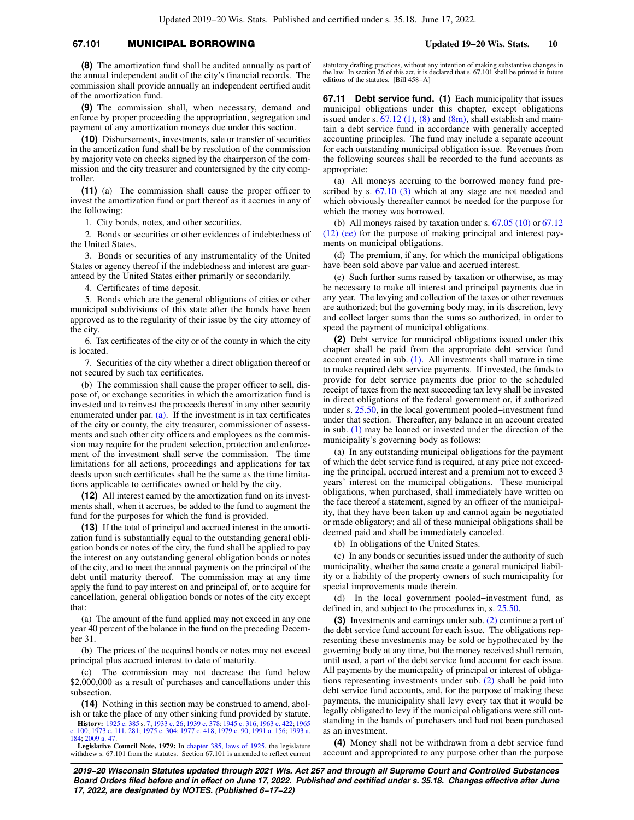# **67.101** MUNICIPAL BORROWING **Updated 19−20 Wis. Stats. 10**

**(8)** The amortization fund shall be audited annually as part of the annual independent audit of the city's financial records. The commission shall provide annually an independent certified audit of the amortization fund.

**(9)** The commission shall, when necessary, demand and enforce by proper proceeding the appropriation, segregation and payment of any amortization moneys due under this section.

**(10)** Disbursements, investments, sale or transfer of securities in the amortization fund shall be by resolution of the commission by majority vote on checks signed by the chairperson of the commission and the city treasurer and countersigned by the city comptroller.

**(11)** (a) The commission shall cause the proper officer to invest the amortization fund or part thereof as it accrues in any of the following:

1. City bonds, notes, and other securities.

2. Bonds or securities or other evidences of indebtedness of the United States.

3. Bonds or securities of any instrumentality of the United States or agency thereof if the indebtedness and interest are guaranteed by the United States either primarily or secondarily.

4. Certificates of time deposit.

5. Bonds which are the general obligations of cities or other municipal subdivisions of this state after the bonds have been approved as to the regularity of their issue by the city attorney of the city.

6. Tax certificates of the city or of the county in which the city is located.

7. Securities of the city whether a direct obligation thereof or not secured by such tax certificates.

(b) The commission shall cause the proper officer to sell, dispose of, or exchange securities in which the amortization fund is invested and to reinvest the proceeds thereof in any other security enumerated under par.  $(a)$ . If the investment is in tax certificates of the city or county, the city treasurer, commissioner of assessments and such other city officers and employees as the commission may require for the prudent selection, protection and enforcement of the investment shall serve the commission. The time limitations for all actions, proceedings and applications for tax deeds upon such certificates shall be the same as the time limitations applicable to certificates owned or held by the city.

**(12)** All interest earned by the amortization fund on its investments shall, when it accrues, be added to the fund to augment the fund for the purposes for which the fund is provided.

**(13)** If the total of principal and accrued interest in the amortization fund is substantially equal to the outstanding general obligation bonds or notes of the city, the fund shall be applied to pay the interest on any outstanding general obligation bonds or notes of the city, and to meet the annual payments on the principal of the debt until maturity thereof. The commission may at any time apply the fund to pay interest on and principal of, or to acquire for cancellation, general obligation bonds or notes of the city except that:

(a) The amount of the fund applied may not exceed in any one year 40 percent of the balance in the fund on the preceding December 31.

(b) The prices of the acquired bonds or notes may not exceed principal plus accrued interest to date of maturity.

(c) The commission may not decrease the fund below \$2,000,000 as a result of purchases and cancellations under this subsection.

**(14)** Nothing in this section may be construed to amend, abolish or take the place of any other sinking fund provided by statute.

**History:** [1925 c. 385](https://docs.legis.wisconsin.gov/document/acts/1925/385) s. [7](https://docs.legis.wisconsin.gov/document/acts/1925/385,%20s.%207); [1933 c. 26;](https://docs.legis.wisconsin.gov/document/acts/1933/26) [1939 c. 378](https://docs.legis.wisconsin.gov/document/acts/1939/378); [1945 c. 316;](https://docs.legis.wisconsin.gov/document/acts/1945/316) [1963 c. 422;](https://docs.legis.wisconsin.gov/document/acts/1963/422) [1965](https://docs.legis.wisconsin.gov/document/acts/1965/100) [c. 100;](https://docs.legis.wisconsin.gov/document/acts/1965/100) [1973 c. 111,](https://docs.legis.wisconsin.gov/document/acts/1973/111) [281](https://docs.legis.wisconsin.gov/document/acts/1973/281); [1975 c. 304;](https://docs.legis.wisconsin.gov/document/acts/1975/304) [1977 c. 418;](https://docs.legis.wisconsin.gov/document/acts/1977/418) [1979 c. 90;](https://docs.legis.wisconsin.gov/document/acts/1979/90) [1991 a. 156;](https://docs.legis.wisconsin.gov/document/acts/1991/156) [1993 a.](https://docs.legis.wisconsin.gov/document/acts/1993/184) [184](https://docs.legis.wisconsin.gov/document/acts/1993/184); [2009 a. 47](https://docs.legis.wisconsin.gov/document/acts/2009/47).

**Legislative Council Note, 1979:** In [chapter 385, laws of 1925,](https://docs.legis.wisconsin.gov/document/acts/1925/385) the legislature withdrew s. 67.101 from the statutes. Section 67.101 is amended to reflect current

statutory drafting practices, without any intention of making substantive changes in the law. In section 26 of this act, it is declared that s. 67.101 shall be printed in future editions of the statutes. [Bill 458−A]

**67.11 Debt service fund. (1)** Each municipality that issues municipal obligations under this chapter, except obligations issued under s.  $67.12(1)$ ,  $(8)$  and  $(8m)$ , shall establish and maintain a debt service fund in accordance with generally accepted accounting principles. The fund may include a separate account for each outstanding municipal obligation issue. Revenues from the following sources shall be recorded to the fund accounts as appropriate:

(a) All moneys accruing to the borrowed money fund prescribed by s.  $67.10$  (3) which at any stage are not needed and which obviously thereafter cannot be needed for the purpose for which the money was borrowed.

(b) All moneys raised by taxation under s.  $67.05$  (10) or  $67.12$ [\(12\) \(ee\)](https://docs.legis.wisconsin.gov/document/statutes/67.12(12)(ee)) for the purpose of making principal and interest payments on municipal obligations.

(d) The premium, if any, for which the municipal obligations have been sold above par value and accrued interest.

(e) Such further sums raised by taxation or otherwise, as may be necessary to make all interest and principal payments due in any year. The levying and collection of the taxes or other revenues are authorized; but the governing body may, in its discretion, levy and collect larger sums than the sums so authorized, in order to speed the payment of municipal obligations.

**(2)** Debt service for municipal obligations issued under this chapter shall be paid from the appropriate debt service fund account created in sub. [\(1\)](https://docs.legis.wisconsin.gov/document/statutes/67.11(1)). All investments shall mature in time to make required debt service payments. If invested, the funds to provide for debt service payments due prior to the scheduled receipt of taxes from the next succeeding tax levy shall be invested in direct obligations of the federal government or, if authorized under s. [25.50](https://docs.legis.wisconsin.gov/document/statutes/25.50), in the local government pooled−investment fund under that section. Thereafter, any balance in an account created in sub. [\(1\)](https://docs.legis.wisconsin.gov/document/statutes/67.11(1)) may be loaned or invested under the direction of the municipality's governing body as follows:

(a) In any outstanding municipal obligations for the payment of which the debt service fund is required, at any price not exceeding the principal, accrued interest and a premium not to exceed 3 years' interest on the municipal obligations. These municipal obligations, when purchased, shall immediately have written on the face thereof a statement, signed by an officer of the municipality, that they have been taken up and cannot again be negotiated or made obligatory; and all of these municipal obligations shall be deemed paid and shall be immediately canceled.

(b) In obligations of the United States.

(c) In any bonds or securities issued under the authority of such municipality, whether the same create a general municipal liability or a liability of the property owners of such municipality for special improvements made therein.

(d) In the local government pooled−investment fund, as defined in, and subject to the procedures in, s. [25.50.](https://docs.legis.wisconsin.gov/document/statutes/25.50)

**(3)** Investments and earnings under sub. [\(2\)](https://docs.legis.wisconsin.gov/document/statutes/67.11(2)) continue a part of the debt service fund account for each issue. The obligations representing these investments may be sold or hypothecated by the governing body at any time, but the money received shall remain, until used, a part of the debt service fund account for each issue. All payments by the municipality of principal or interest of obligations representing investments under sub. [\(2\)](https://docs.legis.wisconsin.gov/document/statutes/67.11(2)) shall be paid into debt service fund accounts, and, for the purpose of making these payments, the municipality shall levy every tax that it would be legally obligated to levy if the municipal obligations were still outstanding in the hands of purchasers and had not been purchased as an investment.

**(4)** Money shall not be withdrawn from a debt service fund account and appropriated to any purpose other than the purpose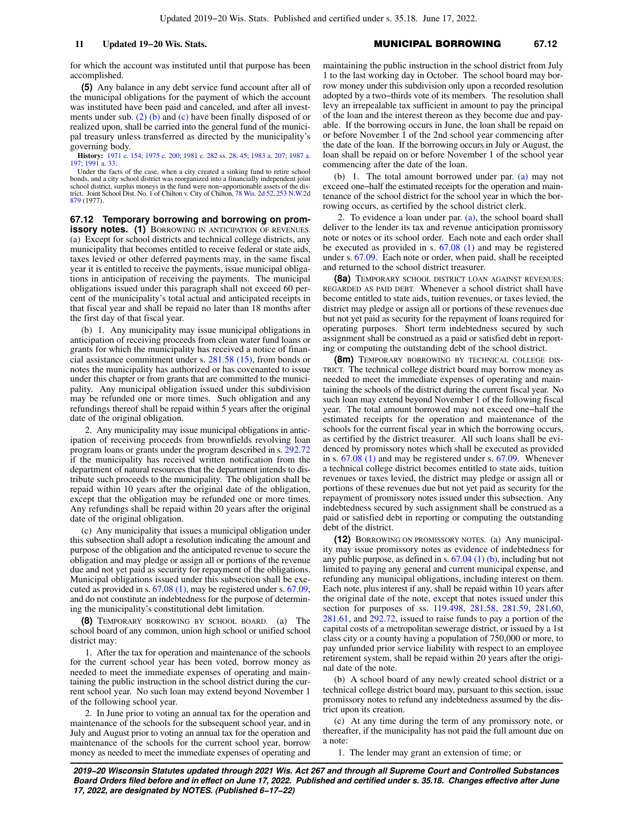for which the account was instituted until that purpose has been accomplished.

**(5)** Any balance in any debt service fund account after all of the municipal obligations for the payment of which the account was instituted have been paid and canceled, and after all investments under sub. [\(2\) \(b\)](https://docs.legis.wisconsin.gov/document/statutes/67.11(2)(b)) and [\(c\)](https://docs.legis.wisconsin.gov/document/statutes/67.11(2)(c)) have been finally disposed of or realized upon, shall be carried into the general fund of the municipal treasury unless transferred as directed by the municipality's governing body.

**History:** [1971 c. 154;](https://docs.legis.wisconsin.gov/document/acts/1971/154) [1975 c. 200](https://docs.legis.wisconsin.gov/document/acts/1975/200); [1981 c. 282](https://docs.legis.wisconsin.gov/document/acts/1981/282) ss. [28](https://docs.legis.wisconsin.gov/document/acts/1981/282,%20s.%2028), [45;](https://docs.legis.wisconsin.gov/document/acts/1981/282,%20s.%2045) [1983 a. 207;](https://docs.legis.wisconsin.gov/document/acts/1983/207) [1987 a.](https://docs.legis.wisconsin.gov/document/acts/1987/197) [197](https://docs.legis.wisconsin.gov/document/acts/1987/197); [1991 a. 33](https://docs.legis.wisconsin.gov/document/acts/1991/33).

Under the facts of the case, when a city created a sinking fund to retire school bonds, and a city school district was reorganized into a financially independent joint<br>school district, surplus moneys in the fund were non–apportionable assets of the dis-<br>trict. Joint School Dist. No. 1 of Chilton v. Cit [879](https://docs.legis.wisconsin.gov/document/courts/253%20N.W.2d%20879) (1977).

**67.12 Temporary borrowing and borrowing on promissory notes. (1)** BORROWING IN ANTICIPATION OF REVENUES. (a) Except for school districts and technical college districts, any municipality that becomes entitled to receive federal or state aids, taxes levied or other deferred payments may, in the same fiscal year it is entitled to receive the payments, issue municipal obligations in anticipation of receiving the payments. The municipal obligations issued under this paragraph shall not exceed 60 percent of the municipality's total actual and anticipated receipts in that fiscal year and shall be repaid no later than 18 months after the first day of that fiscal year.

(b) 1. Any municipality may issue municipal obligations in anticipation of receiving proceeds from clean water fund loans or grants for which the municipality has received a notice of financial assistance commitment under s. [281.58 \(15\),](https://docs.legis.wisconsin.gov/document/statutes/281.58(15)) from bonds or notes the municipality has authorized or has covenanted to issue under this chapter or from grants that are committed to the municipality. Any municipal obligation issued under this subdivision may be refunded one or more times. Such obligation and any refundings thereof shall be repaid within 5 years after the original date of the original obligation.

2. Any municipality may issue municipal obligations in anticipation of receiving proceeds from brownfields revolving loan program loans or grants under the program described in s. [292.72](https://docs.legis.wisconsin.gov/document/statutes/292.72) if the municipality has received written notification from the department of natural resources that the department intends to distribute such proceeds to the municipality. The obligation shall be repaid within 10 years after the original date of the obligation, except that the obligation may be refunded one or more times. Any refundings shall be repaid within 20 years after the original date of the original obligation.

(c) Any municipality that issues a municipal obligation under this subsection shall adopt a resolution indicating the amount and purpose of the obligation and the anticipated revenue to secure the obligation and may pledge or assign all or portions of the revenue due and not yet paid as security for repayment of the obligations. Municipal obligations issued under this subsection shall be executed as provided in s. [67.08 \(1\),](https://docs.legis.wisconsin.gov/document/statutes/67.08(1)) may be registered under s. [67.09,](https://docs.legis.wisconsin.gov/document/statutes/67.09) and do not constitute an indebtedness for the purpose of determining the municipality's constitutional debt limitation.

**(8)** TEMPORARY BORROWING BY SCHOOL BOARD. (a) The school board of any common, union high school or unified school district may:

1. After the tax for operation and maintenance of the schools for the current school year has been voted, borrow money as needed to meet the immediate expenses of operating and maintaining the public instruction in the school district during the current school year. No such loan may extend beyond November 1 of the following school year.

2. In June prior to voting an annual tax for the operation and maintenance of the schools for the subsequent school year, and in July and August prior to voting an annual tax for the operation and maintenance of the schools for the current school year, borrow money as needed to meet the immediate expenses of operating and maintaining the public instruction in the school district from July 1 to the last working day in October. The school board may borrow money under this subdivision only upon a recorded resolution adopted by a two−thirds vote of its members. The resolution shall levy an irrepealable tax sufficient in amount to pay the principal of the loan and the interest thereon as they become due and payable. If the borrowing occurs in June, the loan shall be repaid on or before November 1 of the 2nd school year commencing after the date of the loan. If the borrowing occurs in July or August, the loan shall be repaid on or before November 1 of the school year commencing after the date of the loan.

(b) 1. The total amount borrowed under par. [\(a\)](https://docs.legis.wisconsin.gov/document/statutes/67.12(8)(a)) may not exceed one−half the estimated receipts for the operation and maintenance of the school district for the school year in which the borrowing occurs, as certified by the school district clerk.

2. To evidence a loan under par.  $(a)$ , the school board shall deliver to the lender its tax and revenue anticipation promissory note or notes or its school order. Each note and each order shall be executed as provided in s. [67.08 \(1\)](https://docs.legis.wisconsin.gov/document/statutes/67.08(1)) and may be registered under s. [67.09.](https://docs.legis.wisconsin.gov/document/statutes/67.09) Each note or order, when paid, shall be receipted and returned to the school district treasurer.

**(8a)** TEMPORARY SCHOOL DISTRICT LOAN AGAINST REVENUES; REGARDED AS PAID DEBT. Whenever a school district shall have become entitled to state aids, tuition revenues, or taxes levied, the district may pledge or assign all or portions of these revenues due but not yet paid as security for the repayment of loans required for operating purposes. Short term indebtedness secured by such assignment shall be construed as a paid or satisfied debt in reporting or computing the outstanding debt of the school district.

**(8m)** TEMPORARY BORROWING BY TECHNICAL COLLEGE DIS-TRICT. The technical college district board may borrow money as needed to meet the immediate expenses of operating and maintaining the schools of the district during the current fiscal year. No such loan may extend beyond November 1 of the following fiscal year. The total amount borrowed may not exceed one−half the estimated receipts for the operation and maintenance of the schools for the current fiscal year in which the borrowing occurs, as certified by the district treasurer. All such loans shall be evidenced by promissory notes which shall be executed as provided in s. [67.08 \(1\)](https://docs.legis.wisconsin.gov/document/statutes/67.08(1)) and may be registered under s. [67.09.](https://docs.legis.wisconsin.gov/document/statutes/67.09) Whenever a technical college district becomes entitled to state aids, tuition revenues or taxes levied, the district may pledge or assign all or portions of these revenues due but not yet paid as security for the repayment of promissory notes issued under this subsection. Any indebtedness secured by such assignment shall be construed as a paid or satisfied debt in reporting or computing the outstanding debt of the district.

**(12)** BORROWING ON PROMISSORY NOTES. (a) Any municipality may issue promissory notes as evidence of indebtedness for any public purpose, as defined in s. [67.04 \(1\) \(b\)](https://docs.legis.wisconsin.gov/document/statutes/67.04(1)(b)), including but not limited to paying any general and current municipal expense, and refunding any municipal obligations, including interest on them. Each note, plus interest if any, shall be repaid within 10 years after the original date of the note, except that notes issued under this section for purposes of ss. [119.498,](https://docs.legis.wisconsin.gov/document/statutes/119.498) [281.58](https://docs.legis.wisconsin.gov/document/statutes/281.58), [281.59,](https://docs.legis.wisconsin.gov/document/statutes/281.59) [281.60,](https://docs.legis.wisconsin.gov/document/statutes/281.60) [281.61,](https://docs.legis.wisconsin.gov/document/statutes/281.61) and [292.72](https://docs.legis.wisconsin.gov/document/statutes/292.72), issued to raise funds to pay a portion of the capital costs of a metropolitan sewerage district, or issued by a 1st class city or a county having a population of 750,000 or more, to pay unfunded prior service liability with respect to an employee retirement system, shall be repaid within 20 years after the original date of the note.

(b) A school board of any newly created school district or a technical college district board may, pursuant to this section, issue promissory notes to refund any indebtedness assumed by the district upon its creation.

(c) At any time during the term of any promissory note, or thereafter, if the municipality has not paid the full amount due on a note:

1. The lender may grant an extension of time; or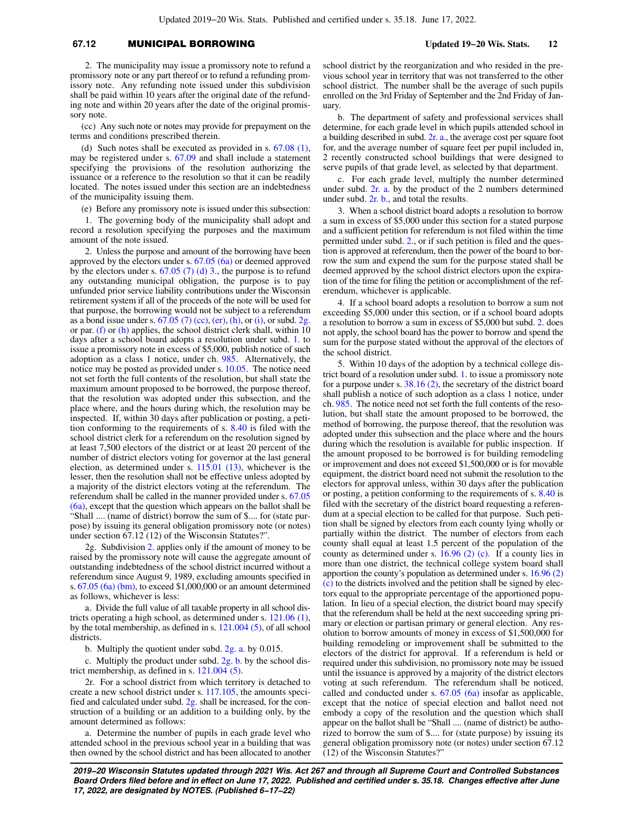# **67.12** MUNICIPAL BORROWING **Updated 19−20 Wis. Stats. 12**

2. The municipality may issue a promissory note to refund a promissory note or any part thereof or to refund a refunding promissory note. Any refunding note issued under this subdivision shall be paid within 10 years after the original date of the refunding note and within 20 years after the date of the original promissory note.

(cc) Any such note or notes may provide for prepayment on the terms and conditions prescribed therein.

(d) Such notes shall be executed as provided in s. [67.08 \(1\),](https://docs.legis.wisconsin.gov/document/statutes/67.08(1)) may be registered under s. [67.09](https://docs.legis.wisconsin.gov/document/statutes/67.09) and shall include a statement specifying the provisions of the resolution authorizing the issuance or a reference to the resolution so that it can be readily located. The notes issued under this section are an indebtedness of the municipality issuing them.

(e) Before any promissory note is issued under this subsection:

1. The governing body of the municipality shall adopt and record a resolution specifying the purposes and the maximum amount of the note issued.

2. Unless the purpose and amount of the borrowing have been approved by the electors under s. [67.05 \(6a\)](https://docs.legis.wisconsin.gov/document/statutes/67.05(6a)) or deemed approved by the electors under s.  $67.05$  (7) (d) 3., the purpose is to refund any outstanding municipal obligation, the purpose is to pay unfunded prior service liability contributions under the Wisconsin retirement system if all of the proceeds of the note will be used for that purpose, the borrowing would not be subject to a referendum as a bond issue under s.  $67.05$  (7) (cc), [\(er\),](https://docs.legis.wisconsin.gov/document/statutes/67.05(7)(er)) [\(h\),](https://docs.legis.wisconsin.gov/document/statutes/67.05(7)(h)) or [\(i\)](https://docs.legis.wisconsin.gov/document/statutes/67.05(7)(i)), or subd. [2g.](https://docs.legis.wisconsin.gov/document/statutes/67.12(12)(e)2g.) or par. [\(f\)](https://docs.legis.wisconsin.gov/document/statutes/67.12(12)(f)) or [\(h\)](https://docs.legis.wisconsin.gov/document/statutes/67.12(12)(h)) applies, the school district clerk shall, within 10 days after a school board adopts a resolution under subd. [1.](https://docs.legis.wisconsin.gov/document/statutes/67.12(12)(e)1.) to issue a promissory note in excess of \$5,000, publish notice of such adoption as a class 1 notice, under ch. [985.](https://docs.legis.wisconsin.gov/document/statutes/ch.%20985) Alternatively, the notice may be posted as provided under s. [10.05.](https://docs.legis.wisconsin.gov/document/statutes/10.05) The notice need not set forth the full contents of the resolution, but shall state the maximum amount proposed to be borrowed, the purpose thereof, that the resolution was adopted under this subsection, and the place where, and the hours during which, the resolution may be inspected. If, within 30 days after publication or posting, a petition conforming to the requirements of s. [8.40](https://docs.legis.wisconsin.gov/document/statutes/8.40) is filed with the school district clerk for a referendum on the resolution signed by at least 7,500 electors of the district or at least 20 percent of the number of district electors voting for governor at the last general election, as determined under s. [115.01 \(13\)](https://docs.legis.wisconsin.gov/document/statutes/115.01(13)), whichever is the lesser, then the resolution shall not be effective unless adopted by a majority of the district electors voting at the referendum. The referendum shall be called in the manner provided under s. [67.05](https://docs.legis.wisconsin.gov/document/statutes/67.05(6a)) [\(6a\)](https://docs.legis.wisconsin.gov/document/statutes/67.05(6a)), except that the question which appears on the ballot shall be "Shall .... (name of district) borrow the sum of \$.... for (state purpose) by issuing its general obligation promissory note (or notes) under section 67.12 (12) of the Wisconsin Statutes?".

2g. Subdivision [2.](https://docs.legis.wisconsin.gov/document/statutes/67.12(12)(e)2.) applies only if the amount of money to be raised by the promissory note will cause the aggregate amount of outstanding indebtedness of the school district incurred without a referendum since August 9, 1989, excluding amounts specified in s. [67.05 \(6a\) \(bm\),](https://docs.legis.wisconsin.gov/document/statutes/67.05(6a)(bm)) to exceed \$1,000,000 or an amount determined as follows, whichever is less:

a. Divide the full value of all taxable property in all school districts operating a high school, as determined under s. [121.06 \(1\),](https://docs.legis.wisconsin.gov/document/statutes/121.06(1)) by the total membership, as defined in s. [121.004 \(5\),](https://docs.legis.wisconsin.gov/document/statutes/121.004(5)) of all school districts.

b. Multiply the quotient under subd. [2g. a.](https://docs.legis.wisconsin.gov/document/statutes/67.12(12)(e)2g.a.) by 0.015.

c. Multiply the product under subd. [2g. b.](https://docs.legis.wisconsin.gov/document/statutes/67.12(12)(e)2g.b.) by the school district membership, as defined in s. [121.004 \(5\).](https://docs.legis.wisconsin.gov/document/statutes/121.004(5))

2r. For a school district from which territory is detached to create a new school district under s. [117.105,](https://docs.legis.wisconsin.gov/document/statutes/117.105) the amounts specified and calculated under subd.  $2g$ , shall be increased, for the construction of a building or an addition to a building only, by the amount determined as follows:

a. Determine the number of pupils in each grade level who attended school in the previous school year in a building that was then owned by the school district and has been allocated to another school district by the reorganization and who resided in the previous school year in territory that was not transferred to the other school district. The number shall be the average of such pupils enrolled on the 3rd Friday of September and the 2nd Friday of January.

b. The department of safety and professional services shall determine, for each grade level in which pupils attended school in a building described in subd. [2r. a.,](https://docs.legis.wisconsin.gov/document/statutes/67.12(12)(e)2r.a.) the average cost per square foot for, and the average number of square feet per pupil included in, 2 recently constructed school buildings that were designed to serve pupils of that grade level, as selected by that department.

c. For each grade level, multiply the number determined under subd. [2r. a.](https://docs.legis.wisconsin.gov/document/statutes/67.12(12)(e)2r.a.) by the product of the 2 numbers determined under subd. [2r. b.,](https://docs.legis.wisconsin.gov/document/statutes/67.12(12)(e)2r.b.) and total the results.

3. When a school district board adopts a resolution to borrow a sum in excess of \$5,000 under this section for a stated purpose and a sufficient petition for referendum is not filed within the time permitted under subd. [2.,](https://docs.legis.wisconsin.gov/document/statutes/67.12(12)(e)2.) or if such petition is filed and the question is approved at referendum, then the power of the board to borrow the sum and expend the sum for the purpose stated shall be deemed approved by the school district electors upon the expiration of the time for filing the petition or accomplishment of the referendum, whichever is applicable.

4. If a school board adopts a resolution to borrow a sum not exceeding \$5,000 under this section, or if a school board adopts a resolution to borrow a sum in excess of \$5,000 but subd. [2.](https://docs.legis.wisconsin.gov/document/statutes/67.12(12)(e)2.) does not apply, the school board has the power to borrow and spend the sum for the purpose stated without the approval of the electors of the school district.

5. Within 10 days of the adoption by a technical college district board of a resolution under subd. [1.](https://docs.legis.wisconsin.gov/document/statutes/67.12(12)(e)1.) to issue a promissory note for a purpose under s. [38.16 \(2\)](https://docs.legis.wisconsin.gov/document/statutes/38.16(2)), the secretary of the district board shall publish a notice of such adoption as a class 1 notice, under ch. [985](https://docs.legis.wisconsin.gov/document/statutes/ch.%20985). The notice need not set forth the full contents of the resolution, but shall state the amount proposed to be borrowed, the method of borrowing, the purpose thereof, that the resolution was adopted under this subsection and the place where and the hours during which the resolution is available for public inspection. If the amount proposed to be borrowed is for building remodeling or improvement and does not exceed \$1,500,000 or is for movable equipment, the district board need not submit the resolution to the electors for approval unless, within 30 days after the publication or posting, a petition conforming to the requirements of s. [8.40](https://docs.legis.wisconsin.gov/document/statutes/8.40) is filed with the secretary of the district board requesting a referendum at a special election to be called for that purpose. Such petition shall be signed by electors from each county lying wholly or partially within the district. The number of electors from each county shall equal at least 1.5 percent of the population of the county as determined under s. [16.96 \(2\) \(c\)](https://docs.legis.wisconsin.gov/document/statutes/16.96(2)(c)). If a county lies in more than one district, the technical college system board shall apportion the county's population as determined under s. [16.96 \(2\)](https://docs.legis.wisconsin.gov/document/statutes/16.96(2)(c)) [\(c\)](https://docs.legis.wisconsin.gov/document/statutes/16.96(2)(c)) to the districts involved and the petition shall be signed by electors equal to the appropriate percentage of the apportioned population. In lieu of a special election, the district board may specify that the referendum shall be held at the next succeeding spring primary or election or partisan primary or general election. Any resolution to borrow amounts of money in excess of \$1,500,000 for building remodeling or improvement shall be submitted to the electors of the district for approval. If a referendum is held or required under this subdivision, no promissory note may be issued until the issuance is approved by a majority of the district electors voting at such referendum. The referendum shall be noticed, called and conducted under s. [67.05 \(6a\)](https://docs.legis.wisconsin.gov/document/statutes/67.05(6a)) insofar as applicable, except that the notice of special election and ballot need not embody a copy of the resolution and the question which shall appear on the ballot shall be "Shall .... (name of district) be authorized to borrow the sum of \$.... for (state purpose) by issuing its general obligation promissory note (or notes) under section 67.12 (12) of the Wisconsin Statutes?"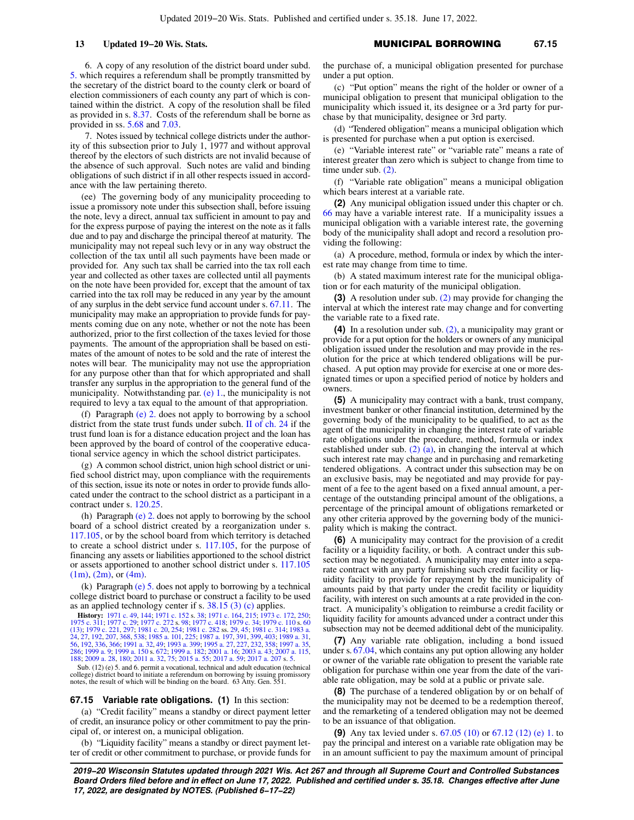6. A copy of any resolution of the district board under subd. [5.](https://docs.legis.wisconsin.gov/document/statutes/67.12(12)(e)5.) which requires a referendum shall be promptly transmitted by the secretary of the district board to the county clerk or board of election commissioners of each county any part of which is contained within the district. A copy of the resolution shall be filed as provided in s. [8.37.](https://docs.legis.wisconsin.gov/document/statutes/8.37) Costs of the referendum shall be borne as provided in ss. [5.68](https://docs.legis.wisconsin.gov/document/statutes/5.68) and [7.03](https://docs.legis.wisconsin.gov/document/statutes/7.03).

7. Notes issued by technical college districts under the authority of this subsection prior to July 1, 1977 and without approval thereof by the electors of such districts are not invalid because of the absence of such approval. Such notes are valid and binding obligations of such district if in all other respects issued in accordance with the law pertaining thereto.

(ee) The governing body of any municipality proceeding to issue a promissory note under this subsection shall, before issuing the note, levy a direct, annual tax sufficient in amount to pay and for the express purpose of paying the interest on the note as it falls due and to pay and discharge the principal thereof at maturity. The municipality may not repeal such levy or in any way obstruct the collection of the tax until all such payments have been made or provided for. Any such tax shall be carried into the tax roll each year and collected as other taxes are collected until all payments on the note have been provided for, except that the amount of tax carried into the tax roll may be reduced in any year by the amount of any surplus in the debt service fund account under s. [67.11.](https://docs.legis.wisconsin.gov/document/statutes/67.11) The municipality may make an appropriation to provide funds for payments coming due on any note, whether or not the note has been authorized, prior to the first collection of the taxes levied for those payments. The amount of the appropriation shall be based on estimates of the amount of notes to be sold and the rate of interest the notes will bear. The municipality may not use the appropriation for any purpose other than that for which appropriated and shall transfer any surplus in the appropriation to the general fund of the municipality. Notwithstanding par. [\(e\) 1.](https://docs.legis.wisconsin.gov/document/statutes/67.12(12)(e)1.), the municipality is not required to levy a tax equal to the amount of that appropriation.

(f) Paragraph [\(e\) 2.](https://docs.legis.wisconsin.gov/document/statutes/67.12(12)(e)2.) does not apply to borrowing by a school district from the state trust funds under subch. [II of ch. 24](https://docs.legis.wisconsin.gov/document/statutes/subch.%20II%20of%20ch.%2024) if the trust fund loan is for a distance education project and the loan has been approved by the board of control of the cooperative educational service agency in which the school district participates.

(g) A common school district, union high school district or unified school district may, upon compliance with the requirements of this section, issue its note or notes in order to provide funds allocated under the contract to the school district as a participant in a contract under s. [120.25](https://docs.legis.wisconsin.gov/document/statutes/120.25).

(h) Paragraph [\(e\) 2.](https://docs.legis.wisconsin.gov/document/statutes/67.12(12)(e)2.) does not apply to borrowing by the school board of a school district created by a reorganization under s. [117.105,](https://docs.legis.wisconsin.gov/document/statutes/117.105) or by the school board from which territory is detached to create a school district under s. [117.105](https://docs.legis.wisconsin.gov/document/statutes/117.105), for the purpose of financing any assets or liabilities apportioned to the school district or assets apportioned to another school district under s. [117.105](https://docs.legis.wisconsin.gov/document/statutes/117.105(1m))  $(1m)$ ,  $(2m)$ , or  $(4m)$ .

(k) Paragraph  $(e)$  5. does not apply to borrowing by a technical college district board to purchase or construct a facility to be used as an applied technology center if s. [38.15 \(3\) \(c\)](https://docs.legis.wisconsin.gov/document/statutes/38.15(3)(c)) applies.

**History:** [1971 c. 49](https://docs.legis.wisconsin.gov/document/acts/1971/49), [144](https://docs.legis.wisconsin.gov/document/acts/1971/144); [1971 c. 152](https://docs.legis.wisconsin.gov/document/acts/1971/152) s. [38](https://docs.legis.wisconsin.gov/document/acts/1971/152,%20s.%2038); [1971 c. 164,](https://docs.legis.wisconsin.gov/document/acts/1971/164) [215;](https://docs.legis.wisconsin.gov/document/acts/1971/215) [1973 c. 172](https://docs.legis.wisconsin.gov/document/acts/1973/172), [250](https://docs.legis.wisconsin.gov/document/acts/1973/250);<br>[1975 c. 311;](https://docs.legis.wisconsin.gov/document/acts/1975/311) [1977 c. 29](https://docs.legis.wisconsin.gov/document/acts/1977/29); [1977 c. 272](https://docs.legis.wisconsin.gov/document/acts/1977/272) s. [98](https://docs.legis.wisconsin.gov/document/acts/1977/272,%20s.%2098); [1977 c. 418;](https://docs.legis.wisconsin.gov/document/acts/1977/418) 1979 c. 324; [1979 c. 110](https://docs.legis.wisconsin.gov/document/acts/1979/110) s. [60](https://docs.legis.wisconsin.gov/document/acts/1979/110,%20s.%2060)<br>[\(13\)](https://docs.legis.wisconsin.gov/document/acts/1979/110,%20s.%2060); [1979 c. 221,](https://docs.legis.wisconsin.gov/document/acts/1979/221) [297](https://docs.legis.wisconsin.gov/document/acts/1979/297); [1981 c. 20](https://docs.legis.wisconsin.gov/document/acts/1981/20), [254](https://docs.legis.wisconsin.gov/document/acts/1981/254); 1981 c. 28

Sub. (12) (e) 5. and 6. permit a vocational, technical and adult education (technical college) district board to initiate a referendum on borrowing by issuing promissory notes, the result of which will be binding on the board. 63 Atty. Gen. 551.

### **67.15 Variable rate obligations. (1)** In this section:

(a) "Credit facility" means a standby or direct payment letter of credit, an insurance policy or other commitment to pay the principal of, or interest on, a municipal obligation.

(b) "Liquidity facility" means a standby or direct payment letter of credit or other commitment to purchase, or provide funds for the purchase of, a municipal obligation presented for purchase under a put option.

(c) "Put option" means the right of the holder or owner of a municipal obligation to present that municipal obligation to the municipality which issued it, its designee or a 3rd party for purchase by that municipality, designee or 3rd party.

(d) "Tendered obligation" means a municipal obligation which is presented for purchase when a put option is exercised.

(e) "Variable interest rate" or "variable rate" means a rate of interest greater than zero which is subject to change from time to time under sub. [\(2\).](https://docs.legis.wisconsin.gov/document/statutes/67.15(2))

(f) "Variable rate obligation" means a municipal obligation which bears interest at a variable rate.

**(2)** Any municipal obligation issued under this chapter or ch. [66](https://docs.legis.wisconsin.gov/document/statutes/ch.%2066) may have a variable interest rate. If a municipality issues a municipal obligation with a variable interest rate, the governing body of the municipality shall adopt and record a resolution providing the following:

(a) A procedure, method, formula or index by which the interest rate may change from time to time.

(b) A stated maximum interest rate for the municipal obligation or for each maturity of the municipal obligation.

**(3)** A resolution under sub. [\(2\)](https://docs.legis.wisconsin.gov/document/statutes/67.15(2)) may provide for changing the interval at which the interest rate may change and for converting the variable rate to a fixed rate.

**(4)** In a resolution under sub. [\(2\)](https://docs.legis.wisconsin.gov/document/statutes/67.15(2)), a municipality may grant or provide for a put option for the holders or owners of any municipal obligation issued under the resolution and may provide in the resolution for the price at which tendered obligations will be purchased. A put option may provide for exercise at one or more designated times or upon a specified period of notice by holders and owners.

**(5)** A municipality may contract with a bank, trust company, investment banker or other financial institution, determined by the governing body of the municipality to be qualified, to act as the agent of the municipality in changing the interest rate of variable rate obligations under the procedure, method, formula or index established under sub. [\(2\) \(a\),](https://docs.legis.wisconsin.gov/document/statutes/67.15(2)(a)) in changing the interval at which such interest rate may change and in purchasing and remarketing tendered obligations. A contract under this subsection may be on an exclusive basis, may be negotiated and may provide for payment of a fee to the agent based on a fixed annual amount, a percentage of the outstanding principal amount of the obligations, a percentage of the principal amount of obligations remarketed or any other criteria approved by the governing body of the municipality which is making the contract.

**(6)** A municipality may contract for the provision of a credit facility or a liquidity facility, or both. A contract under this subsection may be negotiated. A municipality may enter into a separate contract with any party furnishing such credit facility or liquidity facility to provide for repayment by the municipality of amounts paid by that party under the credit facility or liquidity facility, with interest on such amounts at a rate provided in the contract. A municipality's obligation to reimburse a credit facility or liquidity facility for amounts advanced under a contract under this subsection may not be deemed additional debt of the municipality.

**(7)** Any variable rate obligation, including a bond issued under s. [67.04,](https://docs.legis.wisconsin.gov/document/statutes/67.04) which contains any put option allowing any holder or owner of the variable rate obligation to present the variable rate obligation for purchase within one year from the date of the variable rate obligation, may be sold at a public or private sale.

**(8)** The purchase of a tendered obligation by or on behalf of the municipality may not be deemed to be a redemption thereof, and the remarketing of a tendered obligation may not be deemed to be an issuance of that obligation.

**(9)** Any tax levied under s. [67.05 \(10\)](https://docs.legis.wisconsin.gov/document/statutes/67.05(10)) or [67.12 \(12\) \(e\) 1.](https://docs.legis.wisconsin.gov/document/statutes/67.12(12)(e)1.) to pay the principal and interest on a variable rate obligation may be in an amount sufficient to pay the maximum amount of principal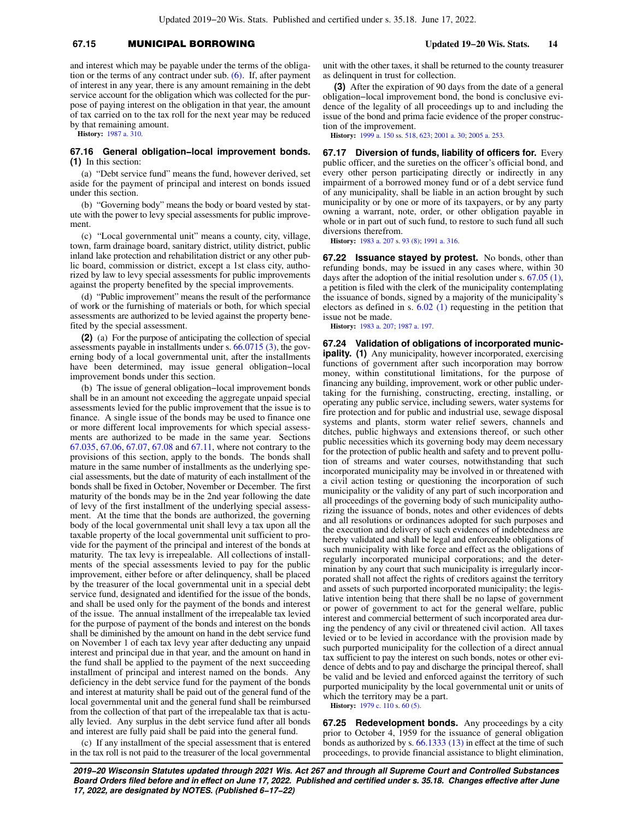# **67.15** MUNICIPAL BORROWING **Updated 19−20 Wis. Stats. 14**

and interest which may be payable under the terms of the obligation or the terms of any contract under sub.  $(6)$ . If, after payment of interest in any year, there is any amount remaining in the debt service account for the obligation which was collected for the purpose of paying interest on the obligation in that year, the amount of tax carried on to the tax roll for the next year may be reduced by that remaining amount.

**History:** [1987 a. 310](https://docs.legis.wisconsin.gov/document/acts/1987/310).

### **67.16 General obligation−local improvement bonds. (1)** In this section:

(a) "Debt service fund" means the fund, however derived, set aside for the payment of principal and interest on bonds issued under this section.

(b) "Governing body" means the body or board vested by statute with the power to levy special assessments for public improvement.

(c) "Local governmental unit" means a county, city, village, town, farm drainage board, sanitary district, utility district, public inland lake protection and rehabilitation district or any other public board, commission or district, except a 1st class city, authorized by law to levy special assessments for public improvements against the property benefited by the special improvements.

(d) "Public improvement" means the result of the performance of work or the furnishing of materials or both, for which special assessments are authorized to be levied against the property benefited by the special assessment.

**(2)** (a) For the purpose of anticipating the collection of special assessments payable in installments under s. [66.0715 \(3\)](https://docs.legis.wisconsin.gov/document/statutes/66.0715(3)), the governing body of a local governmental unit, after the installments have been determined, may issue general obligation−local improvement bonds under this section.

(b) The issue of general obligation−local improvement bonds shall be in an amount not exceeding the aggregate unpaid special assessments levied for the public improvement that the issue is to finance. A single issue of the bonds may be used to finance one or more different local improvements for which special assessments are authorized to be made in the same year. Sections [67.035,](https://docs.legis.wisconsin.gov/document/statutes/67.035) [67.06,](https://docs.legis.wisconsin.gov/document/statutes/67.06) [67.07](https://docs.legis.wisconsin.gov/document/statutes/67.07), [67.08](https://docs.legis.wisconsin.gov/document/statutes/67.08) and [67.11,](https://docs.legis.wisconsin.gov/document/statutes/67.11) where not contrary to the provisions of this section, apply to the bonds. The bonds shall mature in the same number of installments as the underlying special assessments, but the date of maturity of each installment of the bonds shall be fixed in October, November or December. The first maturity of the bonds may be in the 2nd year following the date of levy of the first installment of the underlying special assessment. At the time that the bonds are authorized, the governing body of the local governmental unit shall levy a tax upon all the taxable property of the local governmental unit sufficient to provide for the payment of the principal and interest of the bonds at maturity. The tax levy is irrepealable. All collections of installments of the special assessments levied to pay for the public improvement, either before or after delinquency, shall be placed by the treasurer of the local governmental unit in a special debt service fund, designated and identified for the issue of the bonds, and shall be used only for the payment of the bonds and interest of the issue. The annual installment of the irrepealable tax levied for the purpose of payment of the bonds and interest on the bonds shall be diminished by the amount on hand in the debt service fund on November 1 of each tax levy year after deducting any unpaid interest and principal due in that year, and the amount on hand in the fund shall be applied to the payment of the next succeeding installment of principal and interest named on the bonds. Any deficiency in the debt service fund for the payment of the bonds and interest at maturity shall be paid out of the general fund of the local governmental unit and the general fund shall be reimbursed from the collection of that part of the irrepealable tax that is actually levied. Any surplus in the debt service fund after all bonds and interest are fully paid shall be paid into the general fund.

(c) If any installment of the special assessment that is entered in the tax roll is not paid to the treasurer of the local governmental unit with the other taxes, it shall be returned to the county treasurer as delinquent in trust for collection.

**(3)** After the expiration of 90 days from the date of a general obligation−local improvement bond, the bond is conclusive evidence of the legality of all proceedings up to and including the issue of the bond and prima facie evidence of the proper construction of the improvement.

**History:** [1999 a. 150](https://docs.legis.wisconsin.gov/document/acts/1999/150) ss. [518,](https://docs.legis.wisconsin.gov/document/acts/1999/150,%20s.%20518) [623;](https://docs.legis.wisconsin.gov/document/acts/1999/150,%20s.%20623) [2001 a. 30](https://docs.legis.wisconsin.gov/document/acts/2001/30); [2005 a. 253.](https://docs.legis.wisconsin.gov/document/acts/2005/253)

**67.17 Diversion of funds, liability of officers for.** Every public officer, and the sureties on the officer's official bond, and every other person participating directly or indirectly in any impairment of a borrowed money fund or of a debt service fund of any municipality, shall be liable in an action brought by such municipality or by one or more of its taxpayers, or by any party owning a warrant, note, order, or other obligation payable in whole or in part out of such fund, to restore to such fund all such diversions therefrom.

**History:** [1983 a. 207](https://docs.legis.wisconsin.gov/document/acts/1983/207) s. [93 \(8\);](https://docs.legis.wisconsin.gov/document/acts/1983/207,%20s.%2093) [1991 a. 316](https://docs.legis.wisconsin.gov/document/acts/1991/316).

**67.22 Issuance stayed by protest.** No bonds, other than refunding bonds, may be issued in any cases where, within 30 days after the adoption of the initial resolution under s. [67.05 \(1\),](https://docs.legis.wisconsin.gov/document/statutes/67.05(1)) a petition is filed with the clerk of the municipality contemplating the issuance of bonds, signed by a majority of the municipality's electors as defined in s. [6.02 \(1\)](https://docs.legis.wisconsin.gov/document/statutes/6.02(1)) requesting in the petition that issue not be made.

**History:** [1983 a. 207;](https://docs.legis.wisconsin.gov/document/acts/1983/207) [1987 a. 197](https://docs.legis.wisconsin.gov/document/acts/1987/197).

**67.24 Validation of obligations of incorporated municipality.** (1) Any municipality, however incorporated, exercising functions of government after such incorporation may borrow money, within constitutional limitations, for the purpose of financing any building, improvement, work or other public undertaking for the furnishing, constructing, erecting, installing, or operating any public service, including sewers, water systems for fire protection and for public and industrial use, sewage disposal systems and plants, storm water relief sewers, channels and ditches, public highways and extensions thereof, or such other public necessities which its governing body may deem necessary for the protection of public health and safety and to prevent pollution of streams and water courses, notwithstanding that such incorporated municipality may be involved in or threatened with a civil action testing or questioning the incorporation of such municipality or the validity of any part of such incorporation and all proceedings of the governing body of such municipality authorizing the issuance of bonds, notes and other evidences of debts and all resolutions or ordinances adopted for such purposes and the execution and delivery of such evidences of indebtedness are hereby validated and shall be legal and enforceable obligations of such municipality with like force and effect as the obligations of regularly incorporated municipal corporations; and the determination by any court that such municipality is irregularly incorporated shall not affect the rights of creditors against the territory and assets of such purported incorporated municipality; the legislative intention being that there shall be no lapse of government or power of government to act for the general welfare, public interest and commercial betterment of such incorporated area during the pendency of any civil or threatened civil action. All taxes levied or to be levied in accordance with the provision made by such purported municipality for the collection of a direct annual tax sufficient to pay the interest on such bonds, notes or other evidence of debts and to pay and discharge the principal thereof, shall be valid and be levied and enforced against the territory of such purported municipality by the local governmental unit or units of which the territory may be a part.

**History:** [1979 c. 110](https://docs.legis.wisconsin.gov/document/acts/1979/110) s. [60 \(5\)](https://docs.legis.wisconsin.gov/document/acts/1979/110,%20s.%2060).

**67.25 Redevelopment bonds.** Any proceedings by a city prior to October 4, 1959 for the issuance of general obligation bonds as authorized by s. [66.1333 \(13\)](https://docs.legis.wisconsin.gov/document/statutes/66.1333(13)) in effect at the time of such proceedings, to provide financial assistance to blight elimination,